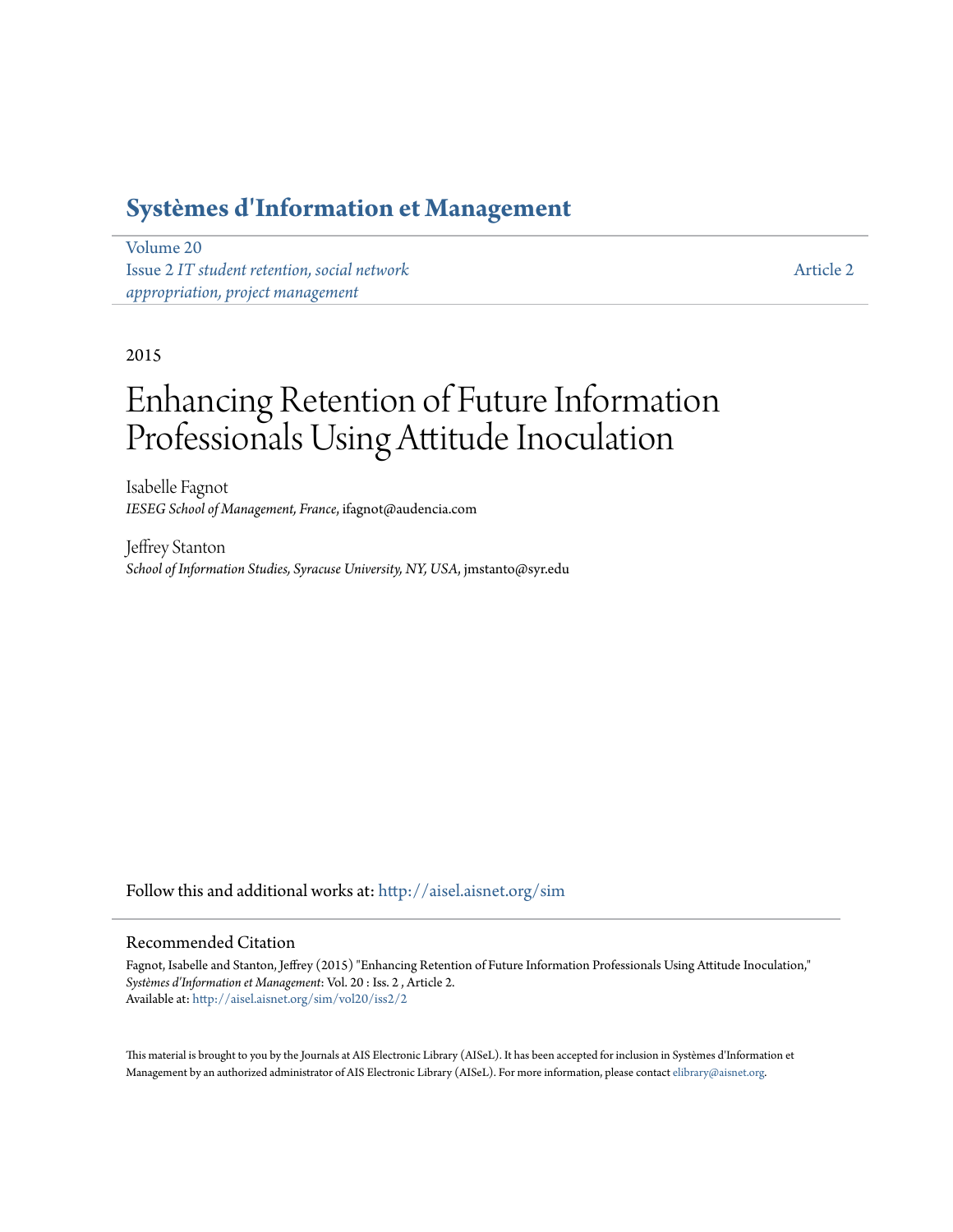# **[Systèmes d'Information et Management](http://aisel.aisnet.org/sim?utm_source=aisel.aisnet.org%2Fsim%2Fvol20%2Fiss2%2F2&utm_medium=PDF&utm_campaign=PDFCoverPages)**

[Volume 20](http://aisel.aisnet.org/sim/vol20?utm_source=aisel.aisnet.org%2Fsim%2Fvol20%2Fiss2%2F2&utm_medium=PDF&utm_campaign=PDFCoverPages) Issue 2 *[IT student retention, social network](http://aisel.aisnet.org/sim/vol20/iss2?utm_source=aisel.aisnet.org%2Fsim%2Fvol20%2Fiss2%2F2&utm_medium=PDF&utm_campaign=PDFCoverPages) [appropriation, project management](http://aisel.aisnet.org/sim/vol20/iss2?utm_source=aisel.aisnet.org%2Fsim%2Fvol20%2Fiss2%2F2&utm_medium=PDF&utm_campaign=PDFCoverPages)*

[Article 2](http://aisel.aisnet.org/sim/vol20/iss2/2?utm_source=aisel.aisnet.org%2Fsim%2Fvol20%2Fiss2%2F2&utm_medium=PDF&utm_campaign=PDFCoverPages)

# 2015

# Enhancing Retention of Future Information Professionals Using Attitude Inoculation

Isabelle Fagnot *IESEG School of Management, France*, ifagnot@audencia.com

Jeffrey Stanton *School of Information Studies, Syracuse University, NY, USA*, jmstanto@syr.edu

Follow this and additional works at: [http://aisel.aisnet.org/sim](http://aisel.aisnet.org/sim?utm_source=aisel.aisnet.org%2Fsim%2Fvol20%2Fiss2%2F2&utm_medium=PDF&utm_campaign=PDFCoverPages)

#### Recommended Citation

Fagnot, Isabelle and Stanton, Jeffrey (2015) "Enhancing Retention of Future Information Professionals Using Attitude Inoculation," *Systèmes d'Information et Management*: Vol. 20 : Iss. 2 , Article 2. Available at: [http://aisel.aisnet.org/sim/vol20/iss2/2](http://aisel.aisnet.org/sim/vol20/iss2/2?utm_source=aisel.aisnet.org%2Fsim%2Fvol20%2Fiss2%2F2&utm_medium=PDF&utm_campaign=PDFCoverPages)

This material is brought to you by the Journals at AIS Electronic Library (AISeL). It has been accepted for inclusion in Systèmes d'Information et Management by an authorized administrator of AIS Electronic Library (AISeL). For more information, please contact [elibrary@aisnet.org](mailto:elibrary@aisnet.org%3E).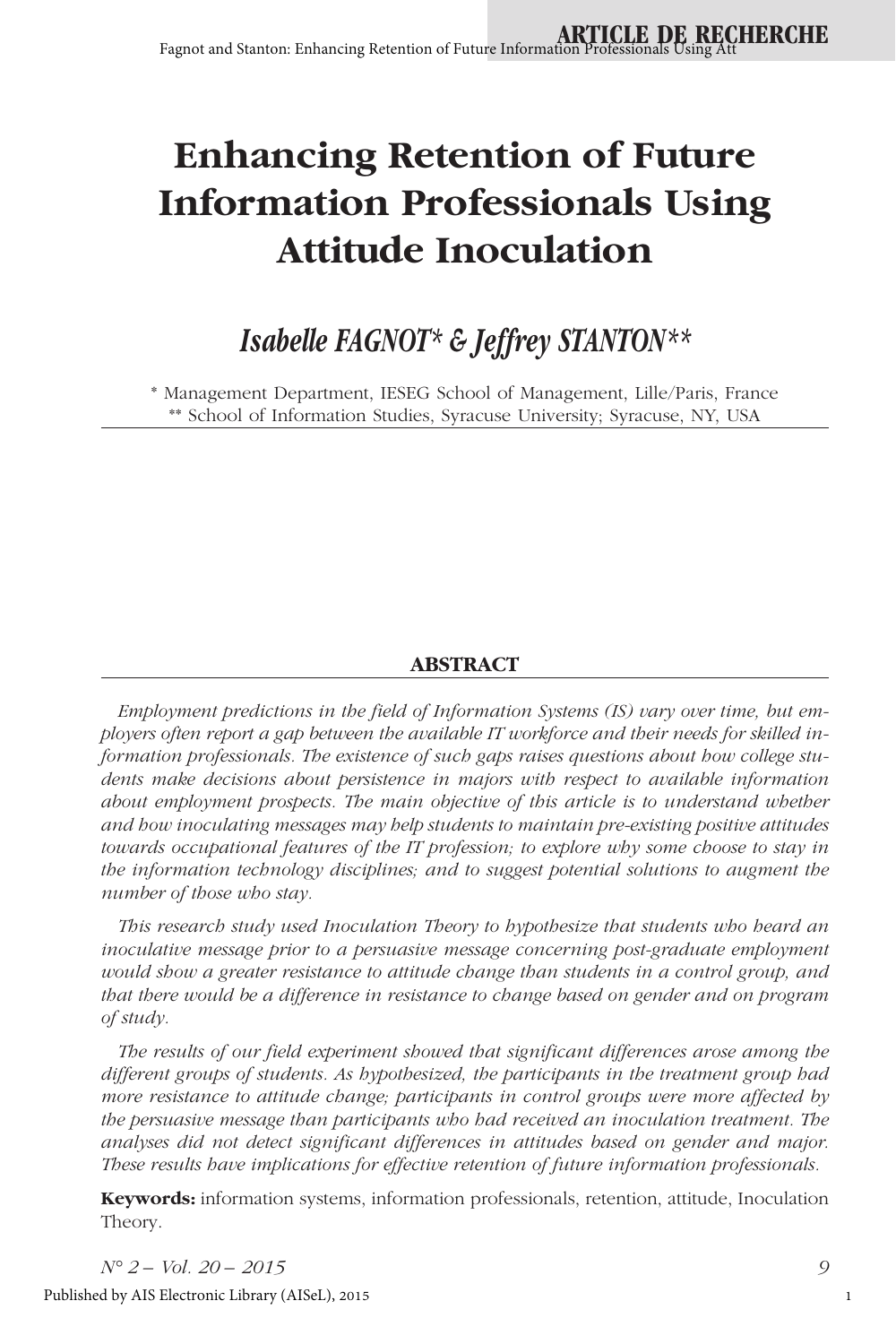# **Enhancing Retention of Future Information Professionals Using Attitude Inoculation**

# *Isabelle FAGNOT\* & Jeffrey STANTON\*\**

\* Management Department, IESEG School of Management, Lille/Paris, France \*\* School of Information Studies, Syracuse University; Syracuse, NY, USA

# **ABSTRACT**

*Employment predictions in the field of Information Systems (IS) vary over time, but employers often report a gap between the available IT workforce and their needs for skilled information professionals. The existence of such gaps raises questions about how college students make decisions about persistence in majors with respect to available information about employment prospects. The main objective of this article is to understand whether and how inoculating messages may help students to maintain pre-existing positive attitudes towards occupational features of the IT profession; to explore why some choose to stay in the information technology disciplines; and to suggest potential solutions to augment the number of those who stay.* 

*This research study used Inoculation Theory to hypothesize that students who heard an inoculative message prior to a persuasive message concerning post-graduate employment would show a greater resistance to attitude change than students in a control group, and that there would be a difference in resistance to change based on gender and on program of study.* 

*The results of our field experiment showed that significant differences arose among the different groups of students. As hypothesized, the participants in the treatment group had more resistance to attitude change; participants in control groups were more affected by the persuasive message than participants who had received an inoculation treatment. The analyses did not detect significant differences in attitudes based on gender and major. These results have implications for effective retention of future information professionals.* 

**Keywords:** information systems, information professionals, retention, attitude, Inoculation Theory.

*N° 2 – Vol. 20 – 2015 9*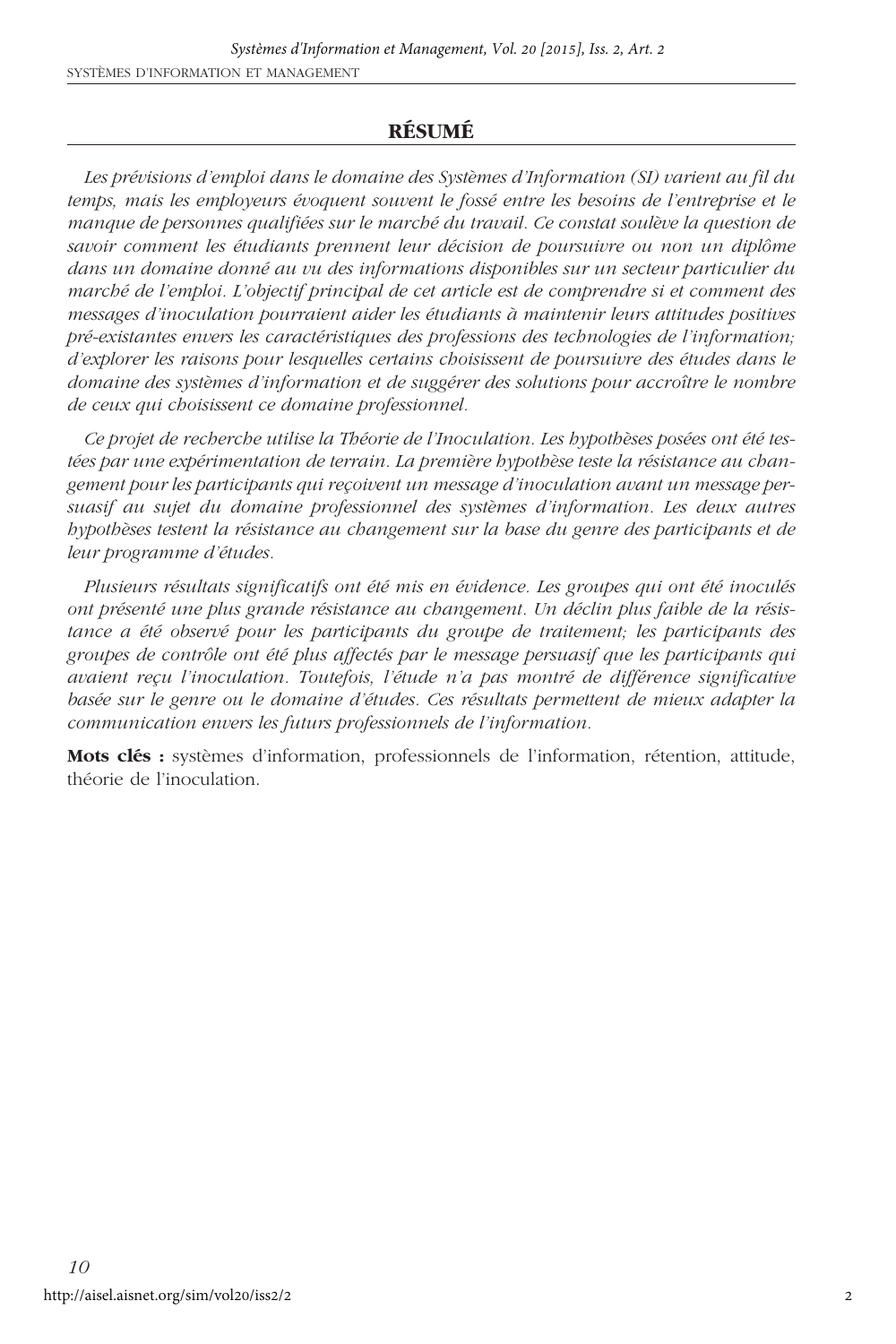# **RÉSUMÉ**

*Les prévisions d'emploi dans le domaine des Systèmes d'Information (SI) varient au fil du temps, mais les employeurs évoquent souvent le fossé entre les besoins de l'entreprise et le manque de personnes qualifiées sur le marché du travail. Ce constat soulève la question de savoir comment les étudiants prennent leur décision de poursuivre ou non un diplôme dans un domaine donné au vu des informations disponibles sur un secteur particulier du marché de l'emploi. L'objectif principal de cet article est de comprendre si et comment des messages d'inoculation pourraient aider les étudiants à maintenir leurs attitudes positives pré-existantes envers les caractéristiques des professions des technologies de l'information; d'explorer les raisons pour lesquelles certains choisissent de poursuivre des études dans le domaine des systèmes d'information et de suggérer des solutions pour accroître le nombre de ceux qui choisissent ce domaine professionnel.* 

*Ce projet de recherche utilise la Théorie de l'Inoculation. Les hypothèses posées ont été testées par une expérimentation de terrain. La première hypothèse teste la résistance au changement pour les participants qui reçoivent un message d'inoculation avant un message persuasif au sujet du domaine professionnel des systèmes d'information. Les deux autres hypothèses testent la résistance au changement sur la base du genre des participants et de leur programme d'études.* 

*Plusieurs résultats significatifs ont été mis en évidence. Les groupes qui ont été inoculés ont présenté une plus grande résistance au changement. Un déclin plus faible de la résistance a été observé pour les participants du groupe de traitement; les participants des groupes de contrôle ont été plus affectés par le message persuasif que les participants qui avaient reçu l'inoculation. Toutefois, l'étude n'a pas montré de différence significative basée sur le genre ou le domaine d'études. Ces résultats permettent de mieux adapter la communication envers les futurs professionnels de l'information.*

**Mots clés :** systèmes d'information, professionnels de l'information, rétention, attitude, théorie de l'inoculation.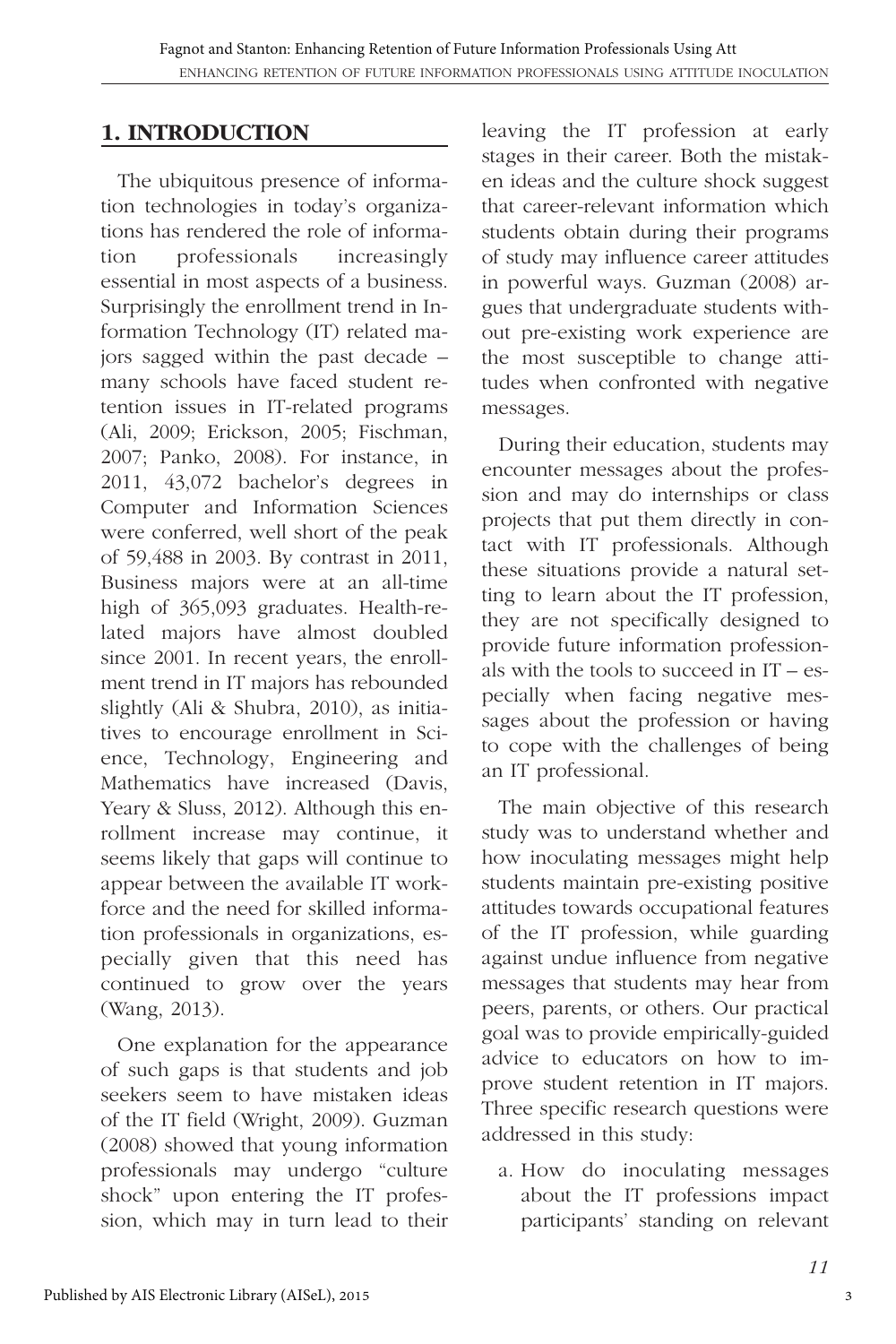# **1. INTRODUCTION**

The ubiquitous presence of information technologies in today's organizations has rendered the role of information professionals increasingly essential in most aspects of a business. Surprisingly the enrollment trend in Information Technology (IT) related majors sagged within the past decade – many schools have faced student retention issues in IT-related programs (Ali, 2009; Erickson, 2005; Fischman, 2007; Panko, 2008). For instance, in 2011, 43,072 bachelor's degrees in Computer and Information Sciences were conferred, well short of the peak of 59,488 in 2003. By contrast in 2011, Business majors were at an all-time high of 365,093 graduates. Health-related majors have almost doubled since 2001. In recent years, the enrollment trend in IT majors has rebounded slightly (Ali & Shubra, 2010), as initiatives to encourage enrollment in Science, Technology, Engineering and Mathematics have increased (Davis, Yeary & Sluss, 2012). Although this enrollment increase may continue, it seems likely that gaps will continue to appear between the available IT workforce and the need for skilled information professionals in organizations, especially given that this need has continued to grow over the years (Wang, 2013).

One explanation for the appearance of such gaps is that students and job seekers seem to have mistaken ideas of the IT field (Wright, 2009). Guzman (2008) showed that young information professionals may undergo "culture shock" upon entering the IT profession, which may in turn lead to their

leaving the IT profession at early stages in their career. Both the mistaken ideas and the culture shock suggest that career-relevant information which students obtain during their programs of study may influence career attitudes in powerful ways. Guzman (2008) argues that undergraduate students without pre-existing work experience are the most susceptible to change attitudes when confronted with negative messages.

During their education, students may encounter messages about the profession and may do internships or class projects that put them directly in contact with IT professionals. Although these situations provide a natural setting to learn about the IT profession, they are not specifically designed to provide future information professionals with the tools to succeed in  $IT - es$ pecially when facing negative messages about the profession or having to cope with the challenges of being an IT professional.

The main objective of this research study was to understand whether and how inoculating messages might help students maintain pre-existing positive attitudes towards occupational features of the IT profession, while guarding against undue influence from negative messages that students may hear from peers, parents, or others. Our practical goal was to provide empirically-guided advice to educators on how to improve student retention in IT majors. Three specific research questions were addressed in this study:

a. How do inoculating messages about the IT professions impact participants' standing on relevant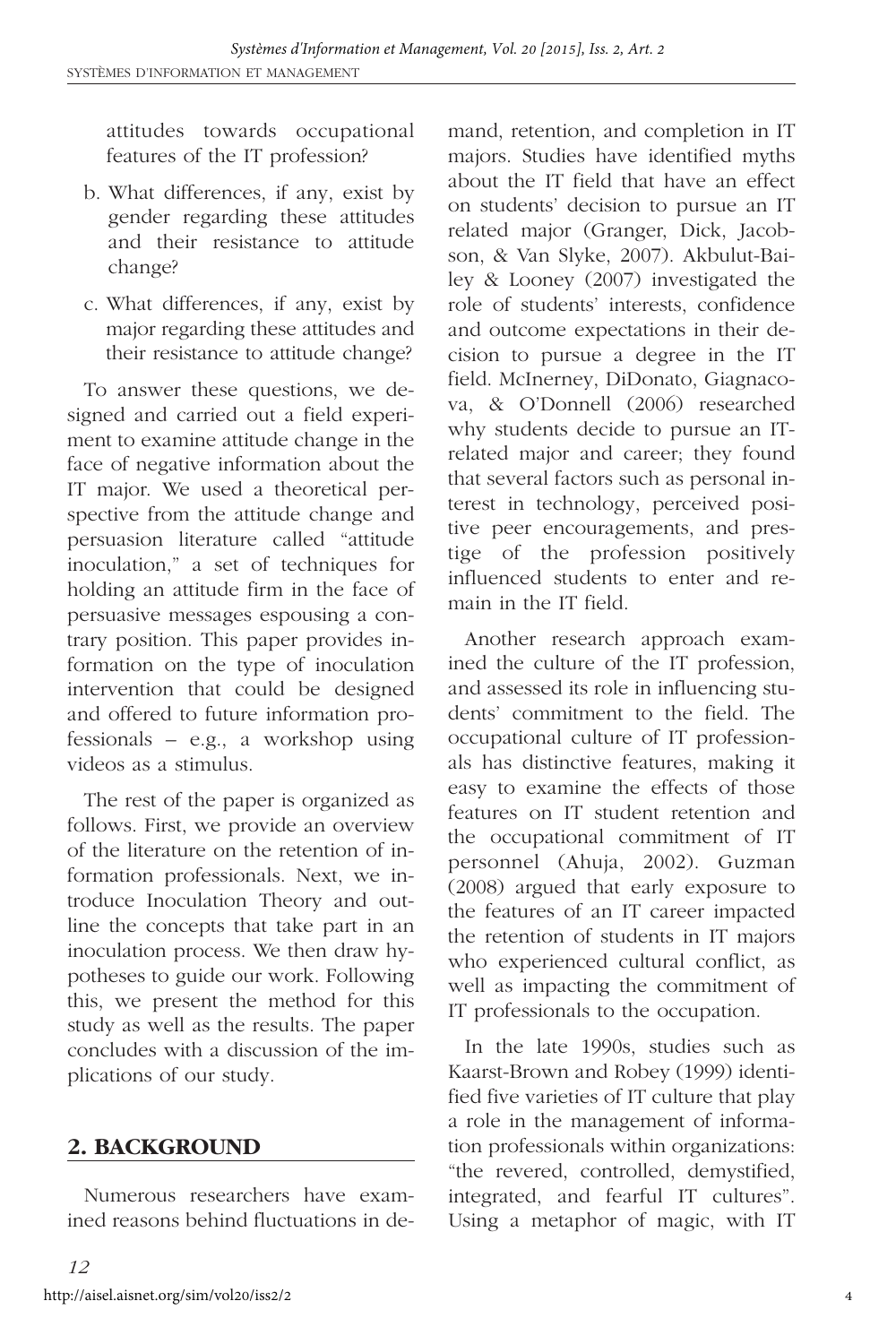attitudes towards occupational features of the IT profession?

- b. What differences, if any, exist by gender regarding these attitudes and their resistance to attitude change?
- c. What differences, if any, exist by major regarding these attitudes and their resistance to attitude change?

To answer these questions, we designed and carried out a field experiment to examine attitude change in the face of negative information about the IT major. We used a theoretical perspective from the attitude change and persuasion literature called "attitude inoculation," a set of techniques for holding an attitude firm in the face of persuasive messages espousing a contrary position. This paper provides information on the type of inoculation intervention that could be designed and offered to future information professionals – e.g., a workshop using videos as a stimulus.

The rest of the paper is organized as follows. First, we provide an overview of the literature on the retention of information professionals. Next, we introduce Inoculation Theory and outline the concepts that take part in an inoculation process. We then draw hypotheses to guide our work. Following this, we present the method for this study as well as the results. The paper concludes with a discussion of the implications of our study.

# **2. BACKGROUND**

Numerous researchers have examined reasons behind fluctuations in demand, retention, and completion in IT majors. Studies have identified myths about the IT field that have an effect on students' decision to pursue an IT related major (Granger, Dick, Jacobson, & Van Slyke, 2007). Akbulut-Bailey & Looney (2007) investigated the role of students' interests, confidence and outcome expectations in their decision to pursue a degree in the IT field. McInerney, DiDonato, Giagnacova, & O'Donnell (2006) researched why students decide to pursue an ITrelated major and career; they found that several factors such as personal interest in technology, perceived positive peer encouragements, and prestige of the profession positively influenced students to enter and remain in the IT field.

Another research approach examined the culture of the IT profession, and assessed its role in influencing students' commitment to the field. The occupational culture of IT professionals has distinctive features, making it easy to examine the effects of those features on IT student retention and the occupational commitment of IT personnel (Ahuja, 2002). Guzman (2008) argued that early exposure to the features of an IT career impacted the retention of students in IT majors who experienced cultural conflict, as well as impacting the commitment of IT professionals to the occupation.

In the late 1990s, studies such as Kaarst-Brown and Robey (1999) identified five varieties of IT culture that play a role in the management of information professionals within organizations: "the revered, controlled, demystified, integrated, and fearful IT cultures". Using a metaphor of magic, with IT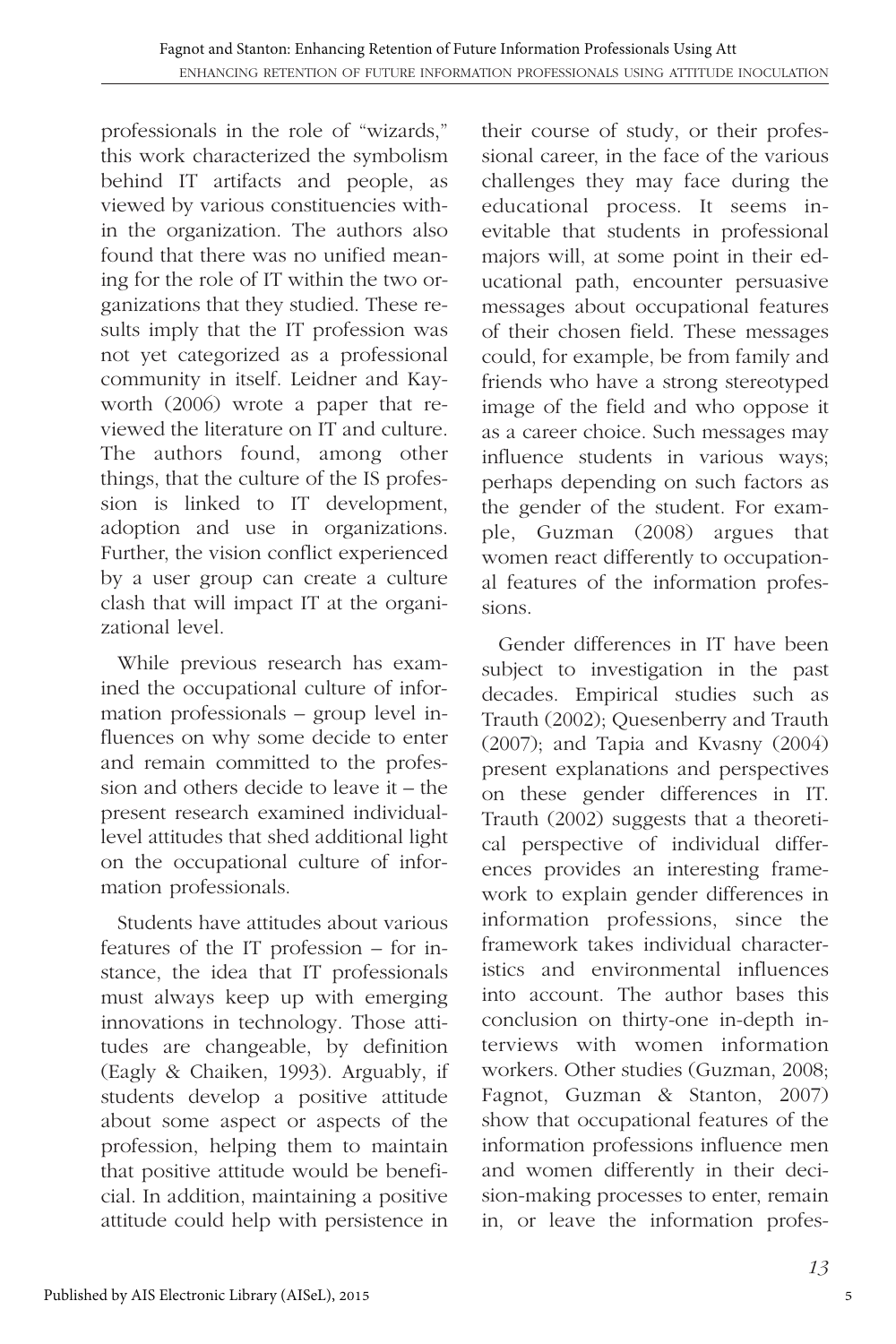professionals in the role of "wizards," this work characterized the symbolism behind IT artifacts and people, as viewed by various constituencies within the organization. The authors also found that there was no unified meaning for the role of IT within the two organizations that they studied. These results imply that the IT profession was not yet categorized as a professional community in itself. Leidner and Kayworth (2006) wrote a paper that reviewed the literature on IT and culture. The authors found, among other things, that the culture of the IS profession is linked to IT development, adoption and use in organizations. Further, the vision conflict experienced by a user group can create a culture clash that will impact IT at the organizational level.

While previous research has examined the occupational culture of information professionals – group level influences on why some decide to enter and remain committed to the profession and others decide to leave it – the present research examined individuallevel attitudes that shed additional light on the occupational culture of information professionals.

Students have attitudes about various features of the IT profession – for instance, the idea that IT professionals must always keep up with emerging innovations in technology. Those attitudes are changeable, by definition (Eagly & Chaiken, 1993). Arguably, if students develop a positive attitude about some aspect or aspects of the profession, helping them to maintain that positive attitude would be beneficial. In addition, maintaining a positive attitude could help with persistence in

their course of study, or their professional career, in the face of the various challenges they may face during the educational process. It seems inevitable that students in professional majors will, at some point in their educational path, encounter persuasive messages about occupational features of their chosen field. These messages could, for example, be from family and friends who have a strong stereotyped image of the field and who oppose it as a career choice. Such messages may influence students in various ways; perhaps depending on such factors as the gender of the student. For example, Guzman (2008) argues that women react differently to occupational features of the information professions.

Gender differences in IT have been subject to investigation in the past decades. Empirical studies such as Trauth (2002); Quesenberry and Trauth (2007); and Tapia and Kvasny (2004) present explanations and perspectives on these gender differences in IT. Trauth (2002) suggests that a theoretical perspective of individual differences provides an interesting framework to explain gender differences in information professions, since the framework takes individual characteristics and environmental influences into account. The author bases this conclusion on thirty-one in-depth interviews with women information workers. Other studies (Guzman, 2008; Fagnot, Guzman & Stanton, 2007) show that occupational features of the information professions influence men and women differently in their decision-making processes to enter, remain in, or leave the information profes-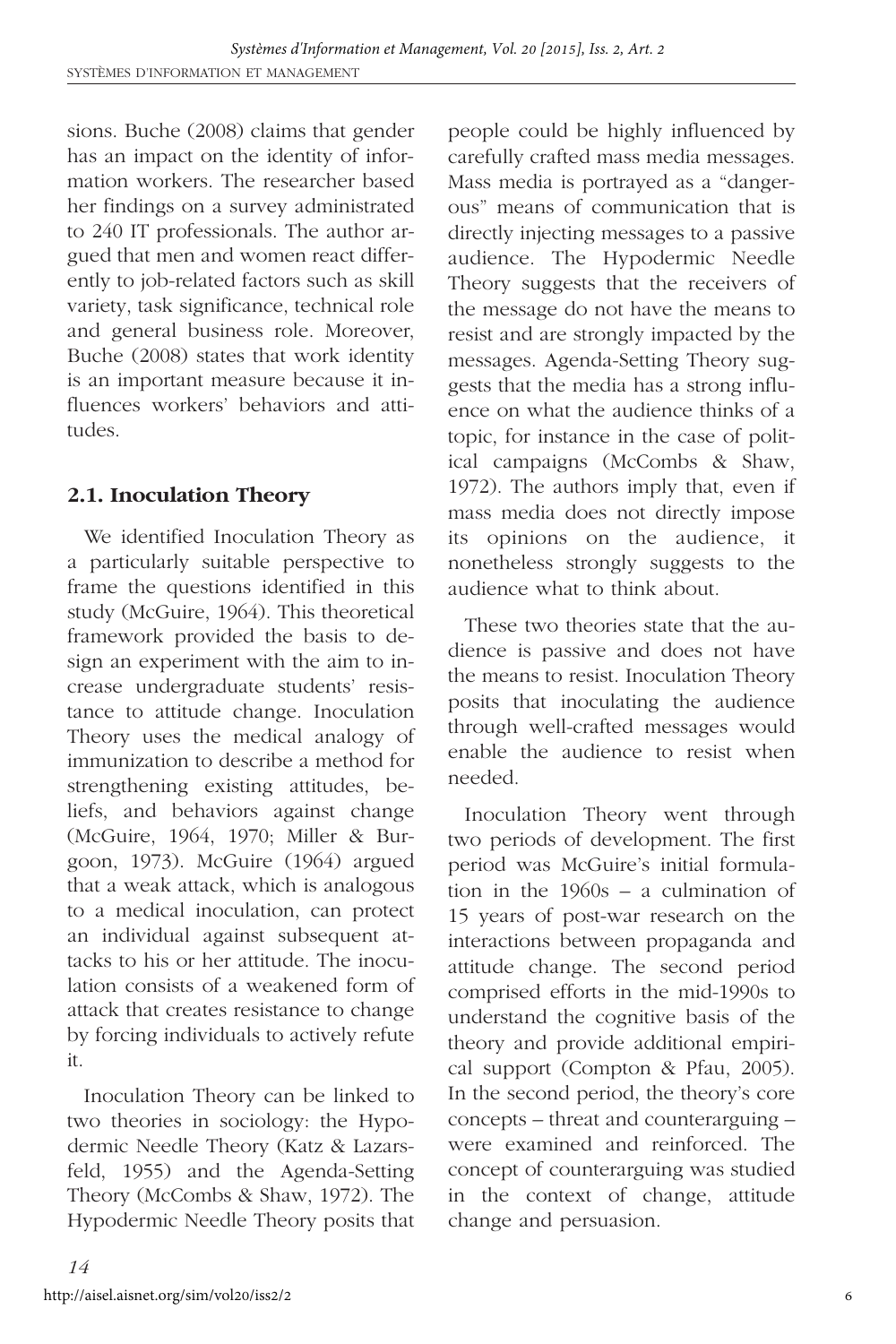sions. Buche (2008) claims that gender has an impact on the identity of information workers. The researcher based her findings on a survey administrated to 240 IT professionals. The author argued that men and women react differently to job-related factors such as skill variety, task significance, technical role and general business role. Moreover, Buche (2008) states that work identity is an important measure because it influences workers' behaviors and attitudes.

# **2.1. Inoculation Theory**

We identified Inoculation Theory as a particularly suitable perspective to frame the questions identified in this study (McGuire, 1964). This theoretical framework provided the basis to design an experiment with the aim to increase undergraduate students' resistance to attitude change. Inoculation Theory uses the medical analogy of immunization to describe a method for strengthening existing attitudes, beliefs, and behaviors against change (McGuire, 1964, 1970; Miller & Burgoon, 1973). McGuire (1964) argued that a weak attack, which is analogous to a medical inoculation, can protect an individual against subsequent attacks to his or her attitude. The inoculation consists of a weakened form of attack that creates resistance to change by forcing individuals to actively refute it.

Inoculation Theory can be linked to two theories in sociology: the Hypodermic Needle Theory (Katz & Lazarsfeld, 1955) and the Agenda-Setting Theory (McCombs & Shaw, 1972). The Hypodermic Needle Theory posits that people could be highly influenced by carefully crafted mass media messages. Mass media is portrayed as a "dangerous" means of communication that is directly injecting messages to a passive audience. The Hypodermic Needle Theory suggests that the receivers of the message do not have the means to resist and are strongly impacted by the messages. Agenda-Setting Theory suggests that the media has a strong influence on what the audience thinks of a topic, for instance in the case of political campaigns (McCombs & Shaw, 1972). The authors imply that, even if mass media does not directly impose its opinions on the audience, it nonetheless strongly suggests to the audience what to think about.

These two theories state that the audience is passive and does not have the means to resist. Inoculation Theory posits that inoculating the audience through well-crafted messages would enable the audience to resist when needed.

Inoculation Theory went through two periods of development. The first period was McGuire's initial formulation in the 1960s – a culmination of 15 years of post-war research on the interactions between propaganda and attitude change. The second period comprised efforts in the mid-1990s to understand the cognitive basis of the theory and provide additional empirical support (Compton & Pfau, 2005). In the second period, the theory's core concepts – threat and counterarguing – were examined and reinforced. The concept of counterarguing was studied in the context of change, attitude change and persuasion.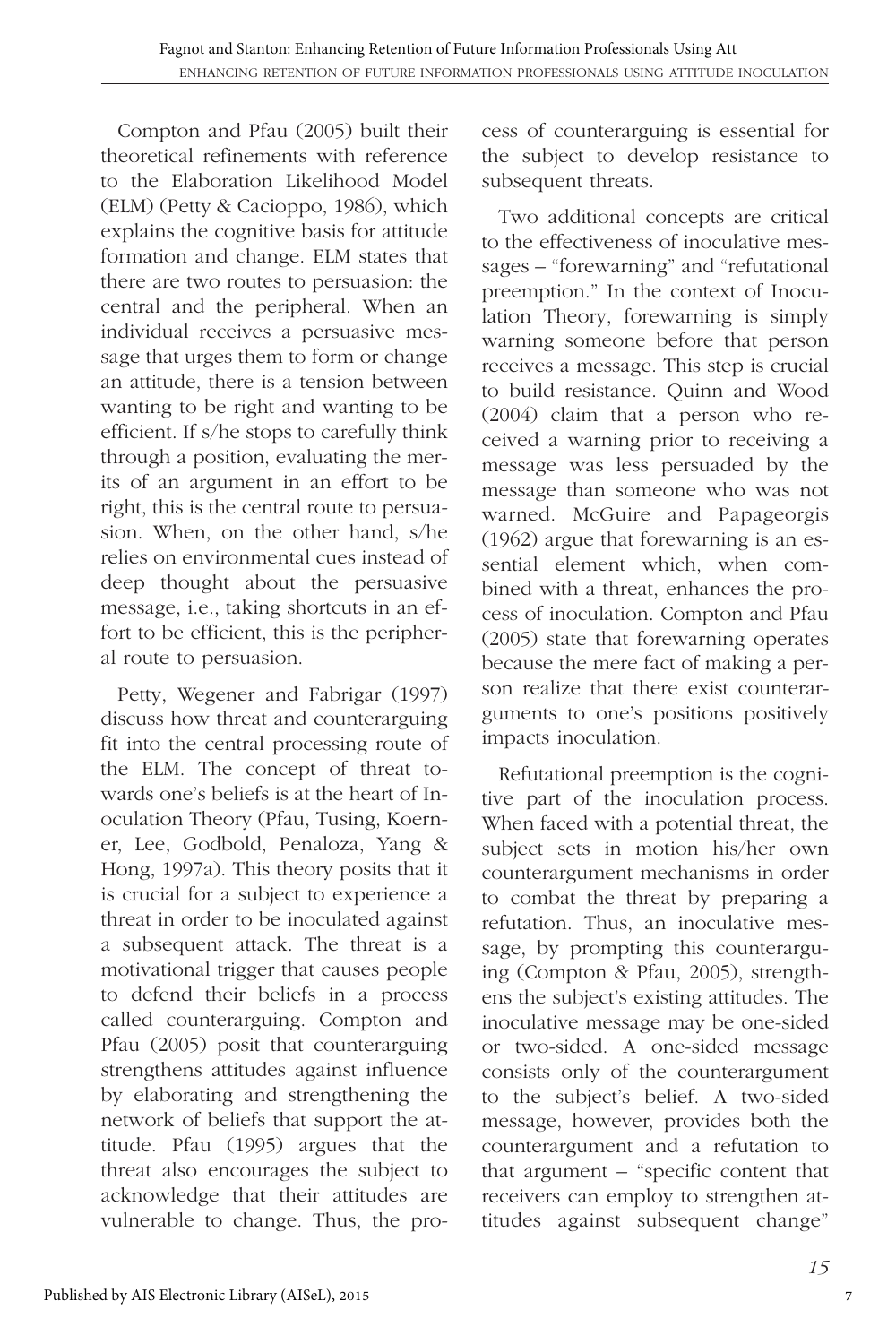Compton and Pfau (2005) built their theoretical refinements with reference to the Elaboration Likelihood Model (ELM) (Petty & Cacioppo, 1986), which explains the cognitive basis for attitude formation and change. ELM states that there are two routes to persuasion: the central and the peripheral. When an individual receives a persuasive message that urges them to form or change an attitude, there is a tension between wanting to be right and wanting to be efficient. If s/he stops to carefully think through a position, evaluating the merits of an argument in an effort to be right, this is the central route to persuasion. When, on the other hand, s/he relies on environmental cues instead of deep thought about the persuasive message, i.e., taking shortcuts in an effort to be efficient, this is the peripheral route to persuasion.

Petty, Wegener and Fabrigar (1997) discuss how threat and counterarguing fit into the central processing route of the ELM. The concept of threat towards one's beliefs is at the heart of Inoculation Theory (Pfau, Tusing, Koerner, Lee, Godbold, Penaloza, Yang & Hong, 1997a). This theory posits that it is crucial for a subject to experience a threat in order to be inoculated against a subsequent attack. The threat is a motivational trigger that causes people to defend their beliefs in a process called counterarguing. Compton and Pfau (2005) posit that counterarguing strengthens attitudes against influence by elaborating and strengthening the network of beliefs that support the attitude. Pfau (1995) argues that the threat also encourages the subject to acknowledge that their attitudes are vulnerable to change. Thus, the process of counterarguing is essential for the subject to develop resistance to subsequent threats.

Two additional concepts are critical to the effectiveness of inoculative messages – "forewarning" and "refutational preemption." In the context of Inoculation Theory, forewarning is simply warning someone before that person receives a message. This step is crucial to build resistance. Quinn and Wood (2004) claim that a person who received a warning prior to receiving a message was less persuaded by the message than someone who was not warned. McGuire and Papageorgis (1962) argue that forewarning is an essential element which, when combined with a threat, enhances the process of inoculation. Compton and Pfau (2005) state that forewarning operates because the mere fact of making a person realize that there exist counterarguments to one's positions positively impacts inoculation.

Refutational preemption is the cognitive part of the inoculation process. When faced with a potential threat, the subject sets in motion his/her own counterargument mechanisms in order to combat the threat by preparing a refutation. Thus, an inoculative message, by prompting this counterarguing (Compton & Pfau, 2005), strengthens the subject's existing attitudes. The inoculative message may be one-sided or two-sided. A one-sided message consists only of the counterargument to the subject's belief. A two-sided message, however, provides both the counterargument and a refutation to that argument – "specific content that receivers can employ to strengthen attitudes against subsequent change"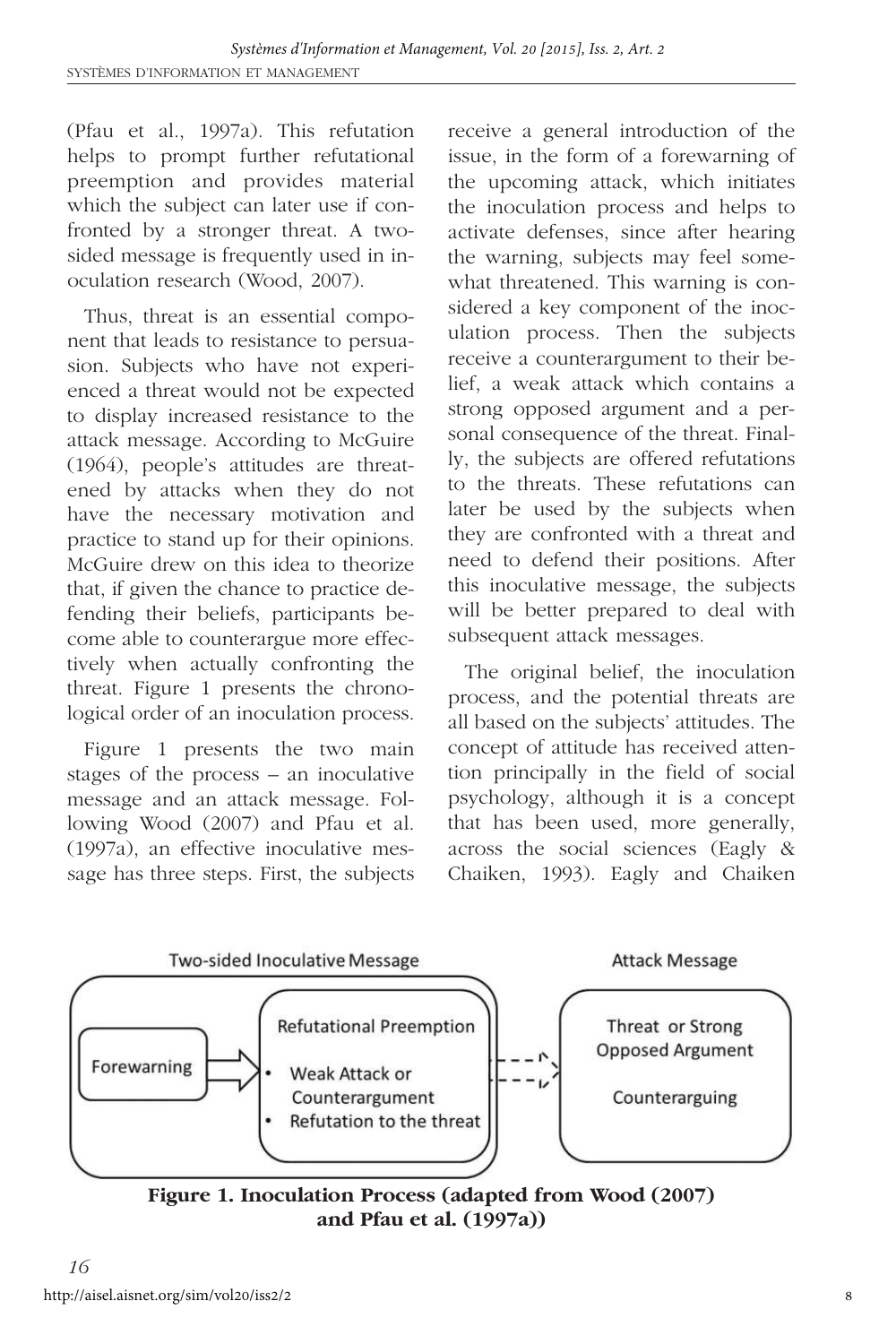(Pfau et al., 1997a). This refutation helps to prompt further refutational preemption and provides material which the subject can later use if confronted by a stronger threat. A twosided message is frequently used in inoculation research (Wood, 2007).

Thus, threat is an essential component that leads to resistance to persuasion. Subjects who have not experienced a threat would not be expected to display increased resistance to the attack message. According to McGuire (1964), people's attitudes are threatened by attacks when they do not have the necessary motivation and practice to stand up for their opinions. McGuire drew on this idea to theorize that, if given the chance to practice defending their beliefs, participants become able to counterargue more effectively when actually confronting the threat. Figure 1 presents the chronological order of an inoculation process.

Figure 1 presents the two main stages of the process – an inoculative message and an attack message. Following Wood (2007) and Pfau et al. (1997a), an effective inoculative message has three steps. First, the subjects

receive a general introduction of the issue, in the form of a forewarning of the upcoming attack, which initiates the inoculation process and helps to activate defenses, since after hearing the warning, subjects may feel somewhat threatened. This warning is considered a key component of the inoculation process. Then the subjects receive a counterargument to their belief, a weak attack which contains a strong opposed argument and a personal consequence of the threat. Finally, the subjects are offered refutations to the threats. These refutations can later be used by the subjects when they are confronted with a threat and need to defend their positions. After this inoculative message, the subjects will be better prepared to deal with subsequent attack messages.

The original belief, the inoculation process, and the potential threats are all based on the subjects' attitudes. The concept of attitude has received attention principally in the field of social psychology, although it is a concept that has been used, more generally, across the social sciences (Eagly & Chaiken, 1993). Eagly and Chaiken



**Figure 1. Inoculation Process (adapted from Wood (2007) and Pfau et al. (1997a))**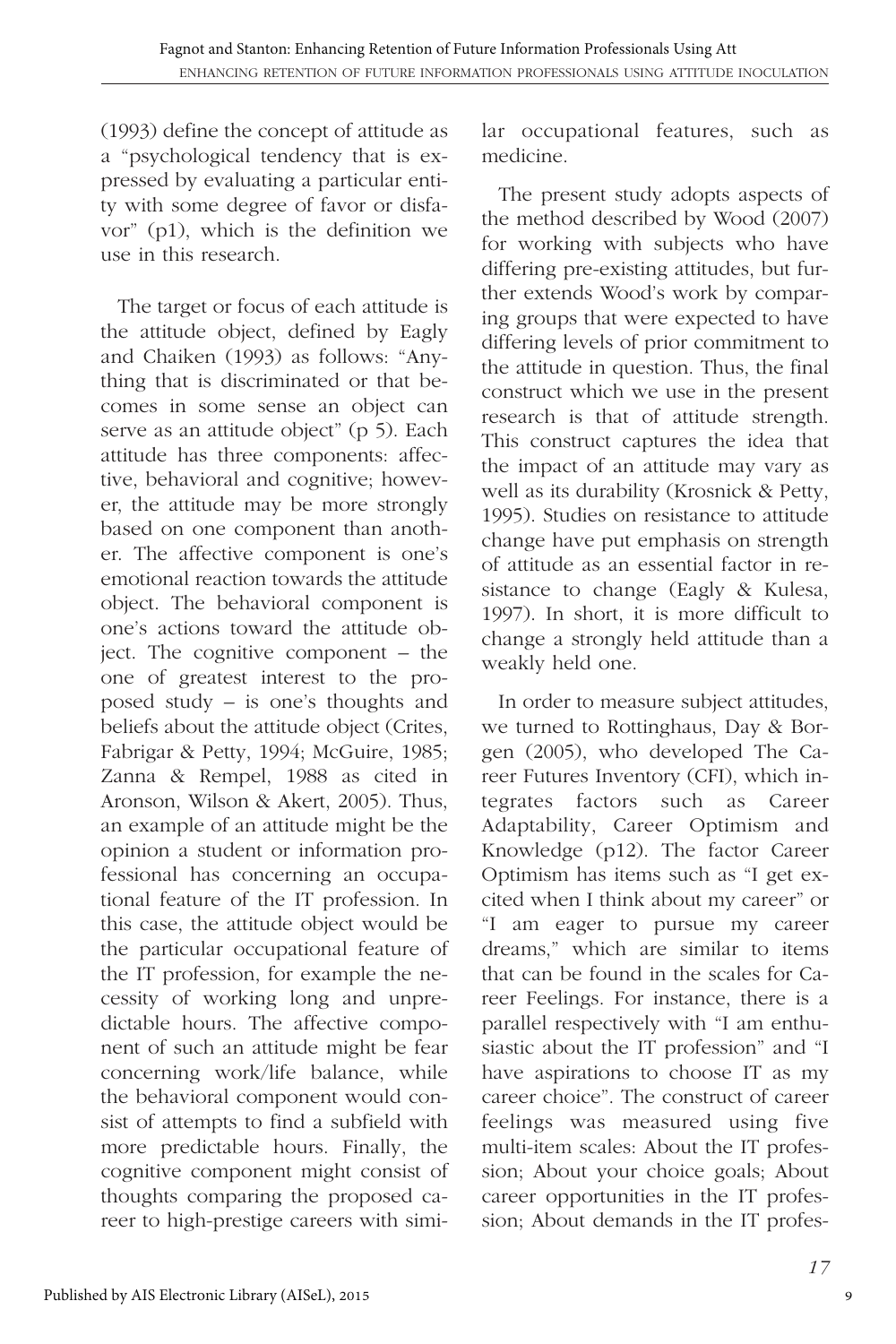(1993) define the concept of attitude as a "psychological tendency that is expressed by evaluating a particular entity with some degree of favor or disfavor" (p1), which is the definition we use in this research.

The target or focus of each attitude is the attitude object, defined by Eagly and Chaiken (1993) as follows: "Anything that is discriminated or that becomes in some sense an object can serve as an attitude object" (p 5). Each attitude has three components: affective, behavioral and cognitive; however, the attitude may be more strongly based on one component than another. The affective component is one's emotional reaction towards the attitude object. The behavioral component is one's actions toward the attitude object. The cognitive component – the one of greatest interest to the proposed study – is one's thoughts and beliefs about the attitude object (Crites, Fabrigar & Petty, 1994; McGuire, 1985; Zanna & Rempel, 1988 as cited in Aronson, Wilson & Akert, 2005). Thus, an example of an attitude might be the opinion a student or information professional has concerning an occupational feature of the IT profession. In this case, the attitude object would be the particular occupational feature of the IT profession, for example the necessity of working long and unpredictable hours. The affective component of such an attitude might be fear concerning work/life balance, while the behavioral component would consist of attempts to find a subfield with more predictable hours. Finally, the cognitive component might consist of thoughts comparing the proposed career to high-prestige careers with similar occupational features, such as medicine.

The present study adopts aspects of the method described by Wood (2007) for working with subjects who have differing pre-existing attitudes, but further extends Wood's work by comparing groups that were expected to have differing levels of prior commitment to the attitude in question. Thus, the final construct which we use in the present research is that of attitude strength. This construct captures the idea that the impact of an attitude may vary as well as its durability (Krosnick & Petty, 1995). Studies on resistance to attitude change have put emphasis on strength of attitude as an essential factor in resistance to change (Eagly & Kulesa, 1997). In short, it is more difficult to change a strongly held attitude than a weakly held one.

In order to measure subject attitudes, we turned to Rottinghaus, Day & Borgen (2005), who developed The Career Futures Inventory (CFI), which integrates factors such as Career Adaptability, Career Optimism and Knowledge (p12). The factor Career Optimism has items such as "I get excited when I think about my career" or "I am eager to pursue my career dreams," which are similar to items that can be found in the scales for Career Feelings. For instance, there is a parallel respectively with "I am enthusiastic about the IT profession" and "I have aspirations to choose IT as my career choice". The construct of career feelings was measured using five multi-item scales: About the IT profession; About your choice goals; About career opportunities in the IT profession; About demands in the IT profes-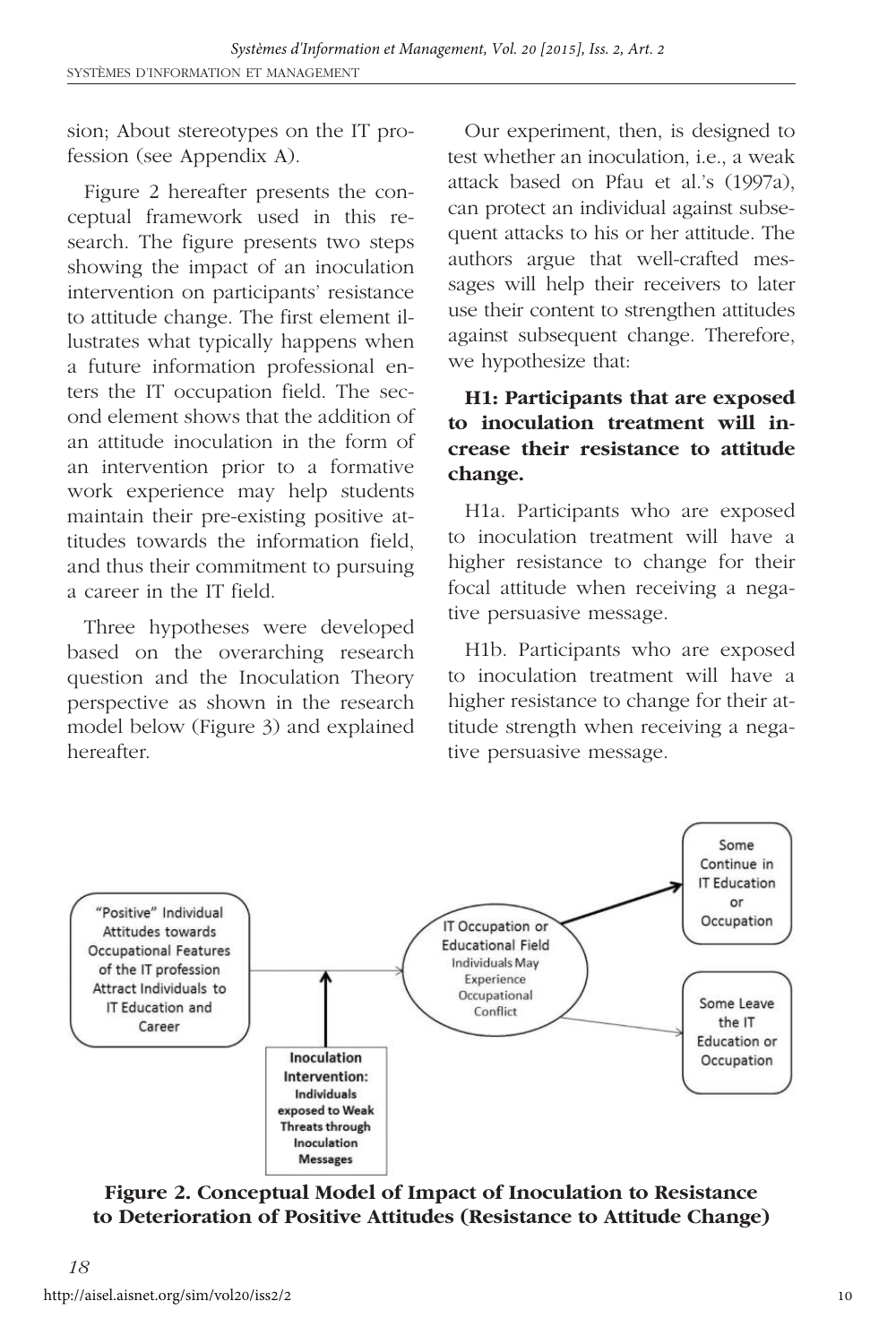sion; About stereotypes on the IT profession (see Appendix A).

Figure 2 hereafter presents the conceptual framework used in this research. The figure presents two steps showing the impact of an inoculation intervention on participants' resistance to attitude change. The first element illustrates what typically happens when a future information professional enters the IT occupation field. The second element shows that the addition of an attitude inoculation in the form of an intervention prior to a formative work experience may help students maintain their pre-existing positive attitudes towards the information field, and thus their commitment to pursuing a career in the IT field.

Three hypotheses were developed based on the overarching research question and the Inoculation Theory perspective as shown in the research model below (Figure 3) and explained hereafter.

Our experiment, then, is designed to test whether an inoculation, i.e., a weak attack based on Pfau et al.'s (1997a), can protect an individual against subsequent attacks to his or her attitude. The authors argue that well-crafted messages will help their receivers to later use their content to strengthen attitudes against subsequent change. Therefore, we hypothesize that:

# **H1: Participants that are exposed to inoculation treatment will increase their resistance to attitude change.**

H1a. Participants who are exposed to inoculation treatment will have a higher resistance to change for their focal attitude when receiving a negative persuasive message.

H1b. Participants who are exposed to inoculation treatment will have a higher resistance to change for their attitude strength when receiving a negative persuasive message.



**Figure 2. Conceptual Model of Impact of Inoculation to Resistance to Deterioration of Positive Attitudes (Resistance to Attitude Change)**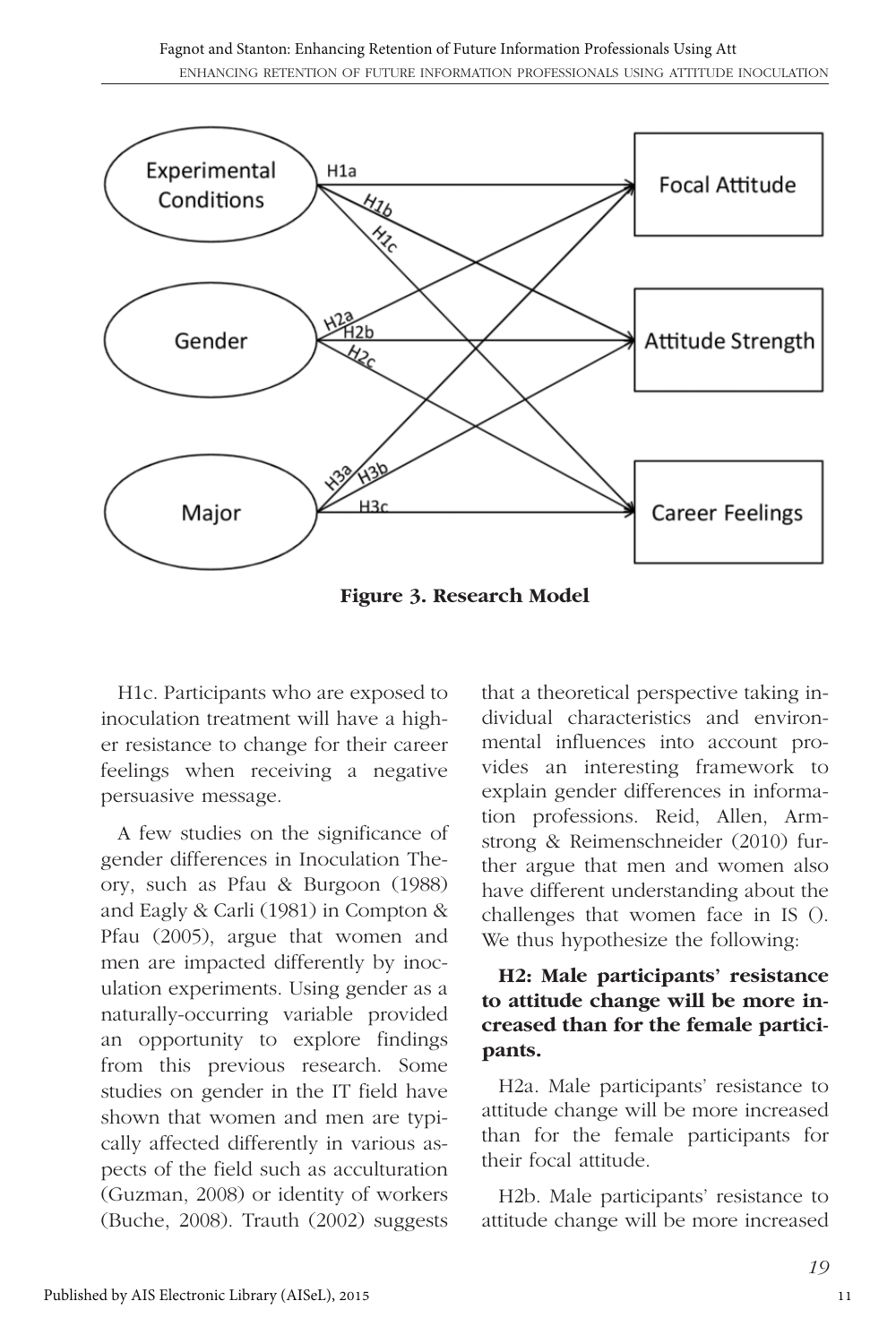

**Figure 3. Research Model**

H1c. Participants who are exposed to inoculation treatment will have a higher resistance to change for their career feelings when receiving a negative persuasive message.

A few studies on the significance of gender differences in Inoculation Theory, such as Pfau & Burgoon (1988) and Eagly & Carli (1981) in Compton & Pfau (2005), argue that women and men are impacted differently by inoculation experiments. Using gender as a naturally-occurring variable provided an opportunity to explore findings from this previous research. Some studies on gender in the IT field have shown that women and men are typically affected differently in various aspects of the field such as acculturation (Guzman, 2008) or identity of workers (Buche, 2008). Trauth (2002) suggests that a theoretical perspective taking individual characteristics and environmental influences into account provides an interesting framework to explain gender differences in information professions. Reid, Allen, Armstrong & Reimenschneider (2010) further argue that men and women also have different understanding about the challenges that women face in IS (). We thus hypothesize the following:

#### **H2: Male participants' resistance to attitude change will be more increased than for the female participants.**

H2a. Male participants' resistance to attitude change will be more increased than for the female participants for their focal attitude.

H2b. Male participants' resistance to attitude change will be more increased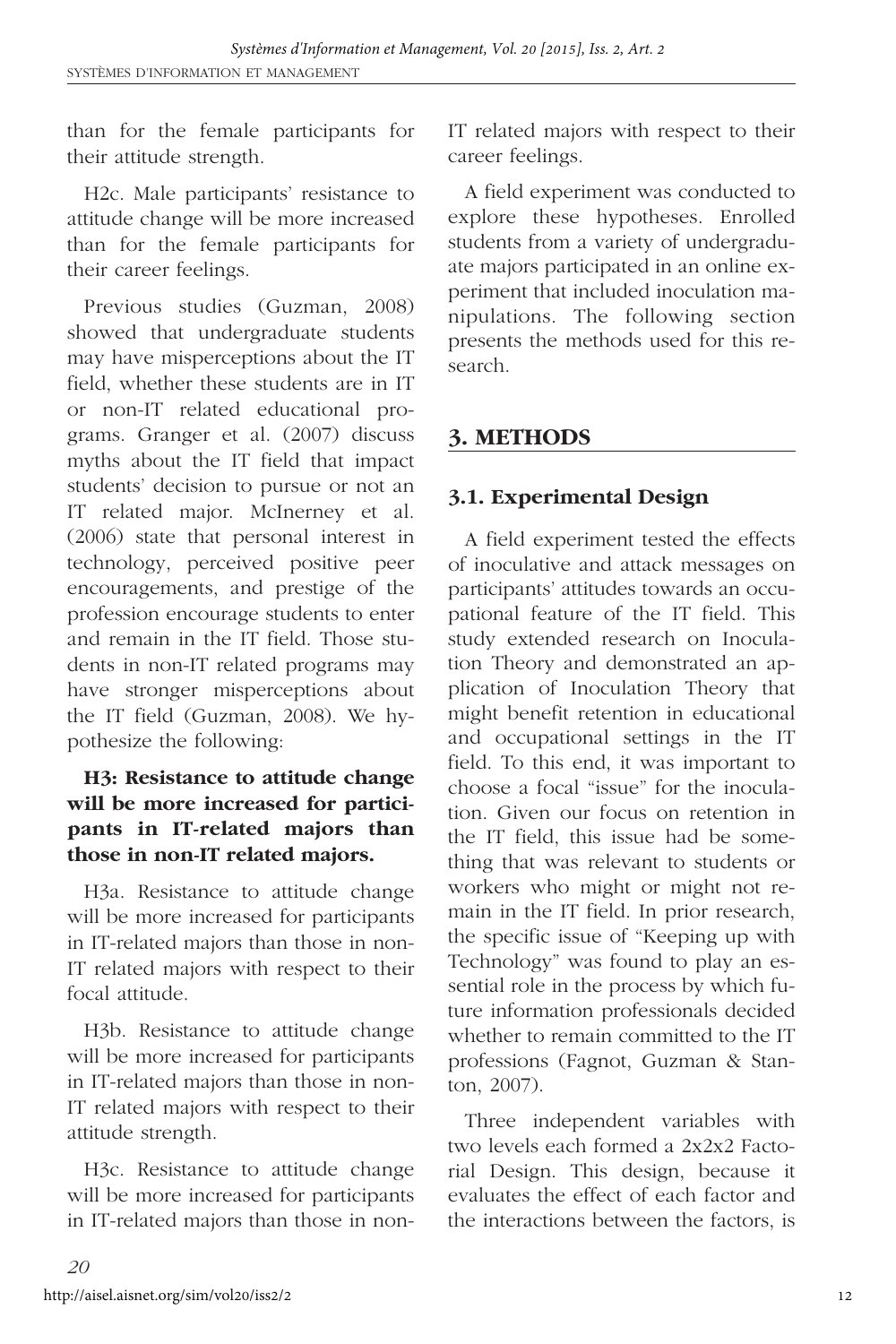than for the female participants for their attitude strength.

H2c. Male participants' resistance to attitude change will be more increased than for the female participants for their career feelings.

Previous studies (Guzman, 2008) showed that undergraduate students may have misperceptions about the IT field, whether these students are in IT or non-IT related educational programs. Granger et al. (2007) discuss myths about the IT field that impact students' decision to pursue or not an IT related major. McInerney et al. (2006) state that personal interest in technology, perceived positive peer encouragements, and prestige of the profession encourage students to enter and remain in the IT field. Those students in non-IT related programs may have stronger misperceptions about the IT field (Guzman, 2008). We hypothesize the following:

# **H3: Resistance to attitude change will be more increased for participants in IT-related majors than those in non-IT related majors.**

H3a. Resistance to attitude change will be more increased for participants in IT-related majors than those in non-IT related majors with respect to their focal attitude.

H3b. Resistance to attitude change will be more increased for participants in IT-related majors than those in non-IT related majors with respect to their attitude strength.

H3c. Resistance to attitude change will be more increased for participants in IT-related majors than those in nonIT related majors with respect to their career feelings.

A field experiment was conducted to explore these hypotheses. Enrolled students from a variety of undergraduate majors participated in an online experiment that included inoculation manipulations. The following section presents the methods used for this research.

# **3. METHODS**

# **3.1. Experimental Design**

A field experiment tested the effects of inoculative and attack messages on participants' attitudes towards an occupational feature of the IT field. This study extended research on Inoculation Theory and demonstrated an application of Inoculation Theory that might benefit retention in educational and occupational settings in the IT field. To this end, it was important to choose a focal "issue" for the inoculation. Given our focus on retention in the IT field, this issue had be something that was relevant to students or workers who might or might not remain in the IT field. In prior research, the specific issue of "Keeping up with Technology" was found to play an essential role in the process by which future information professionals decided whether to remain committed to the IT professions (Fagnot, Guzman & Stanton, 2007).

Three independent variables with two levels each formed a 2x2x2 Factorial Design. This design, because it evaluates the effect of each factor and the interactions between the factors, is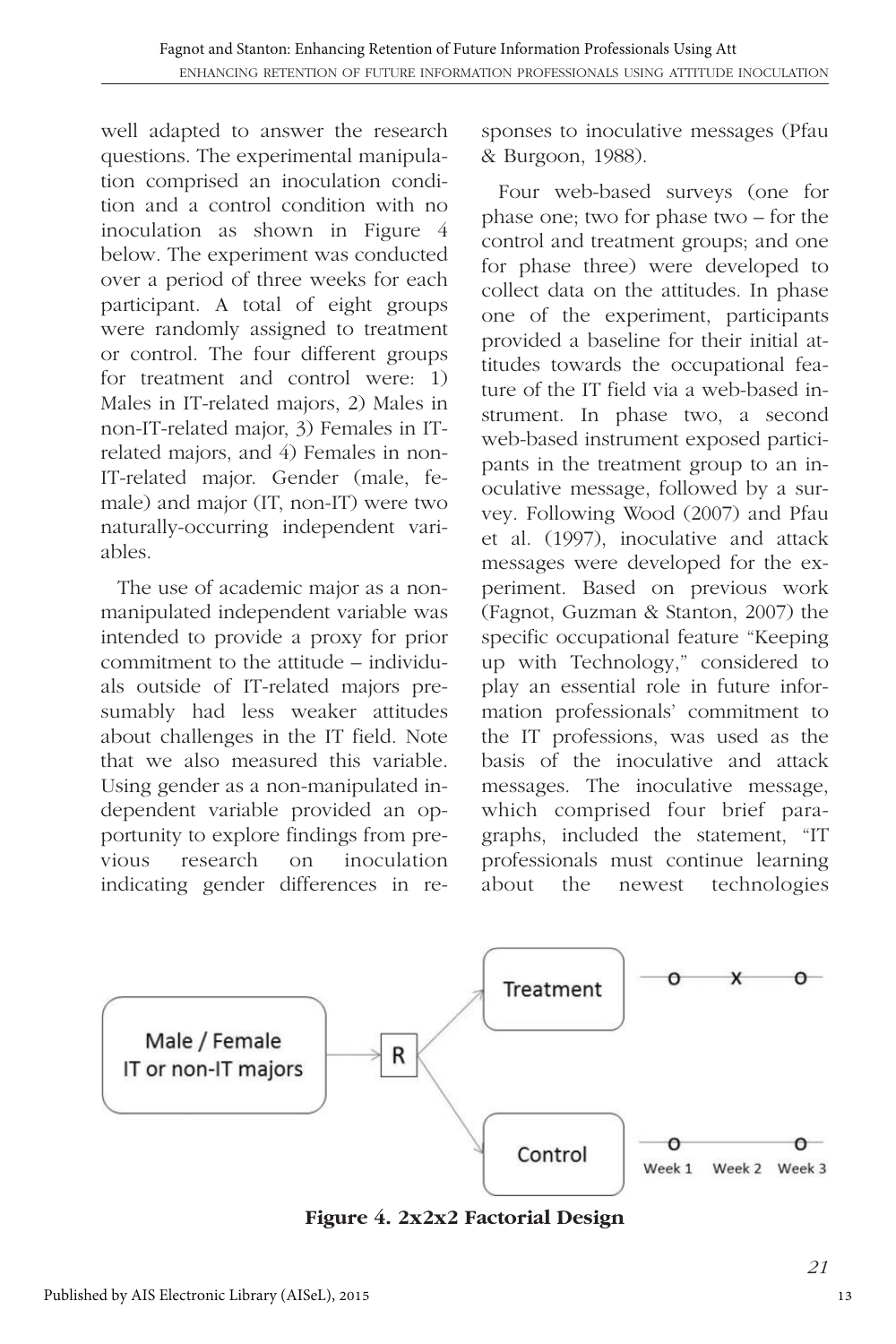well adapted to answer the research questions. The experimental manipulation comprised an inoculation condition and a control condition with no inoculation as shown in Figure 4 below. The experiment was conducted over a period of three weeks for each participant. A total of eight groups were randomly assigned to treatment or control. The four different groups for treatment and control were: 1) Males in IT-related majors, 2) Males in non-IT-related major, 3) Females in ITrelated majors, and 4) Females in non-IT-related major. Gender (male, female) and major (IT, non-IT) were two naturally-occurring independent variables.

The use of academic major as a nonmanipulated independent variable was intended to provide a proxy for prior commitment to the attitude – individuals outside of IT-related majors presumably had less weaker attitudes about challenges in the IT field. Note that we also measured this variable. Using gender as a non-manipulated independent variable provided an opportunity to explore findings from previous research on inoculation indicating gender differences in responses to inoculative messages (Pfau & Burgoon, 1988).

Four web-based surveys (one for phase one; two for phase two – for the control and treatment groups; and one for phase three) were developed to collect data on the attitudes. In phase one of the experiment, participants provided a baseline for their initial attitudes towards the occupational feature of the IT field via a web-based instrument. In phase two, a second web-based instrument exposed participants in the treatment group to an inoculative message, followed by a survey. Following Wood (2007) and Pfau et al. (1997), inoculative and attack messages were developed for the experiment. Based on previous work (Fagnot, Guzman & Stanton, 2007) the specific occupational feature "Keeping up with Technology," considered to play an essential role in future information professionals' commitment to the IT professions, was used as the basis of the inoculative and attack messages. The inoculative message, which comprised four brief paragraphs, included the statement, "IT professionals must continue learning about the newest technologies



**Figure 4. 2x2x2 Factorial Design**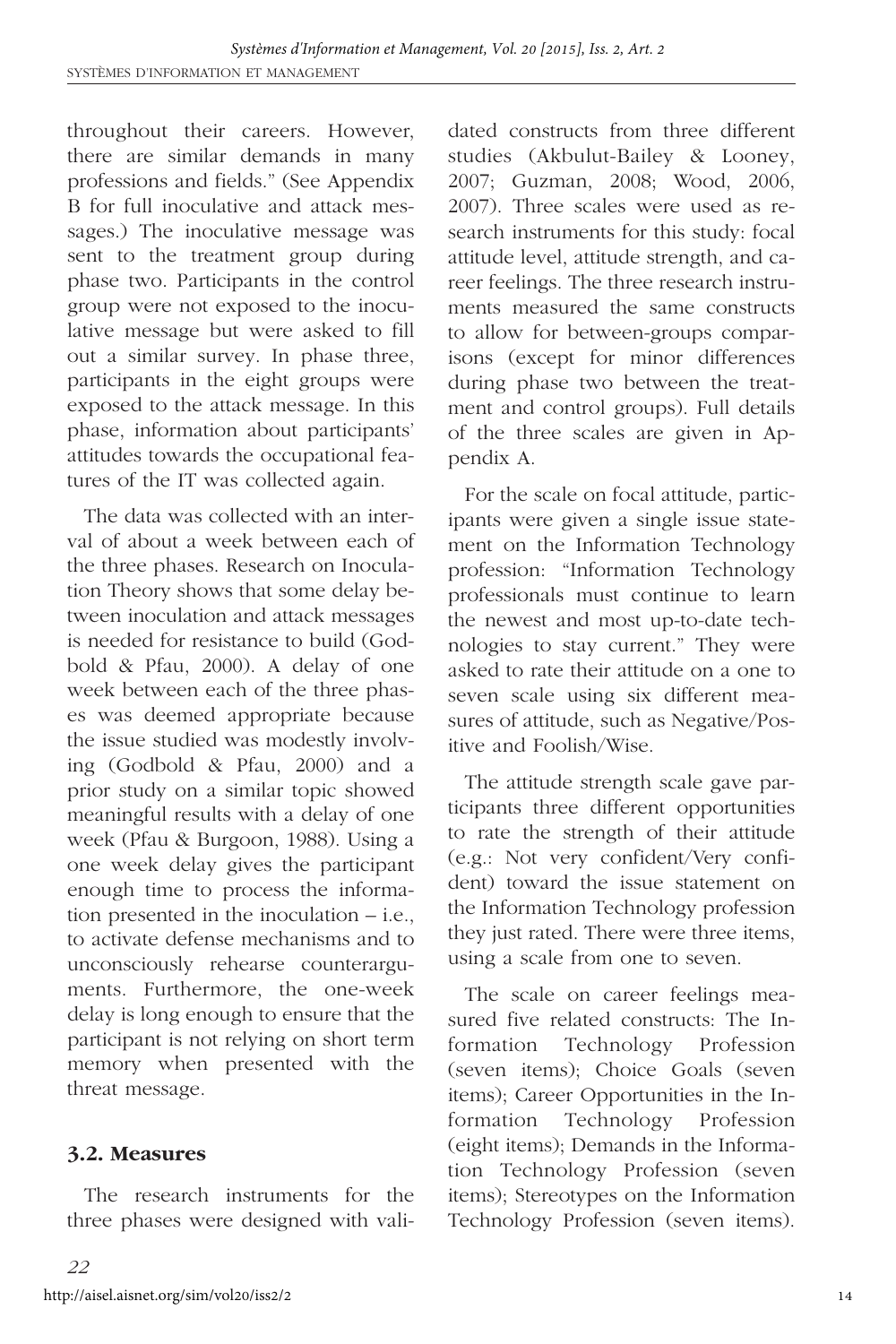throughout their careers. However, there are similar demands in many professions and fields." (See Appendix B for full inoculative and attack messages.) The inoculative message was sent to the treatment group during phase two. Participants in the control group were not exposed to the inoculative message but were asked to fill out a similar survey. In phase three, participants in the eight groups were exposed to the attack message. In this phase, information about participants' attitudes towards the occupational features of the IT was collected again.

The data was collected with an interval of about a week between each of the three phases. Research on Inoculation Theory shows that some delay between inoculation and attack messages is needed for resistance to build (Godbold & Pfau, 2000). A delay of one week between each of the three phases was deemed appropriate because the issue studied was modestly involving (Godbold & Pfau, 2000) and a prior study on a similar topic showed meaningful results with a delay of one week (Pfau & Burgoon, 1988). Using a one week delay gives the participant enough time to process the information presented in the inoculation – i.e., to activate defense mechanisms and to unconsciously rehearse counterarguments. Furthermore, the one-week delay is long enough to ensure that the participant is not relying on short term memory when presented with the threat message.

#### **3.2. Measures**

The research instruments for the three phases were designed with validated constructs from three different studies (Akbulut-Bailey & Looney, 2007; Guzman, 2008; Wood, 2006, 2007). Three scales were used as research instruments for this study: focal attitude level, attitude strength, and career feelings. The three research instruments measured the same constructs to allow for between-groups comparisons (except for minor differences during phase two between the treatment and control groups). Full details of the three scales are given in Appendix A.

For the scale on focal attitude, participants were given a single issue statement on the Information Technology profession: "Information Technology professionals must continue to learn the newest and most up-to-date technologies to stay current." They were asked to rate their attitude on a one to seven scale using six different measures of attitude, such as Negative/Positive and Foolish/Wise.

The attitude strength scale gave participants three different opportunities to rate the strength of their attitude (e.g.: Not very confident/Very confident) toward the issue statement on the Information Technology profession they just rated. There were three items, using a scale from one to seven.

The scale on career feelings measured five related constructs: The Information Technology Profession (seven items); Choice Goals (seven items); Career Opportunities in the Information Technology Profession (eight items); Demands in the Information Technology Profession (seven items); Stereotypes on the Information Technology Profession (seven items).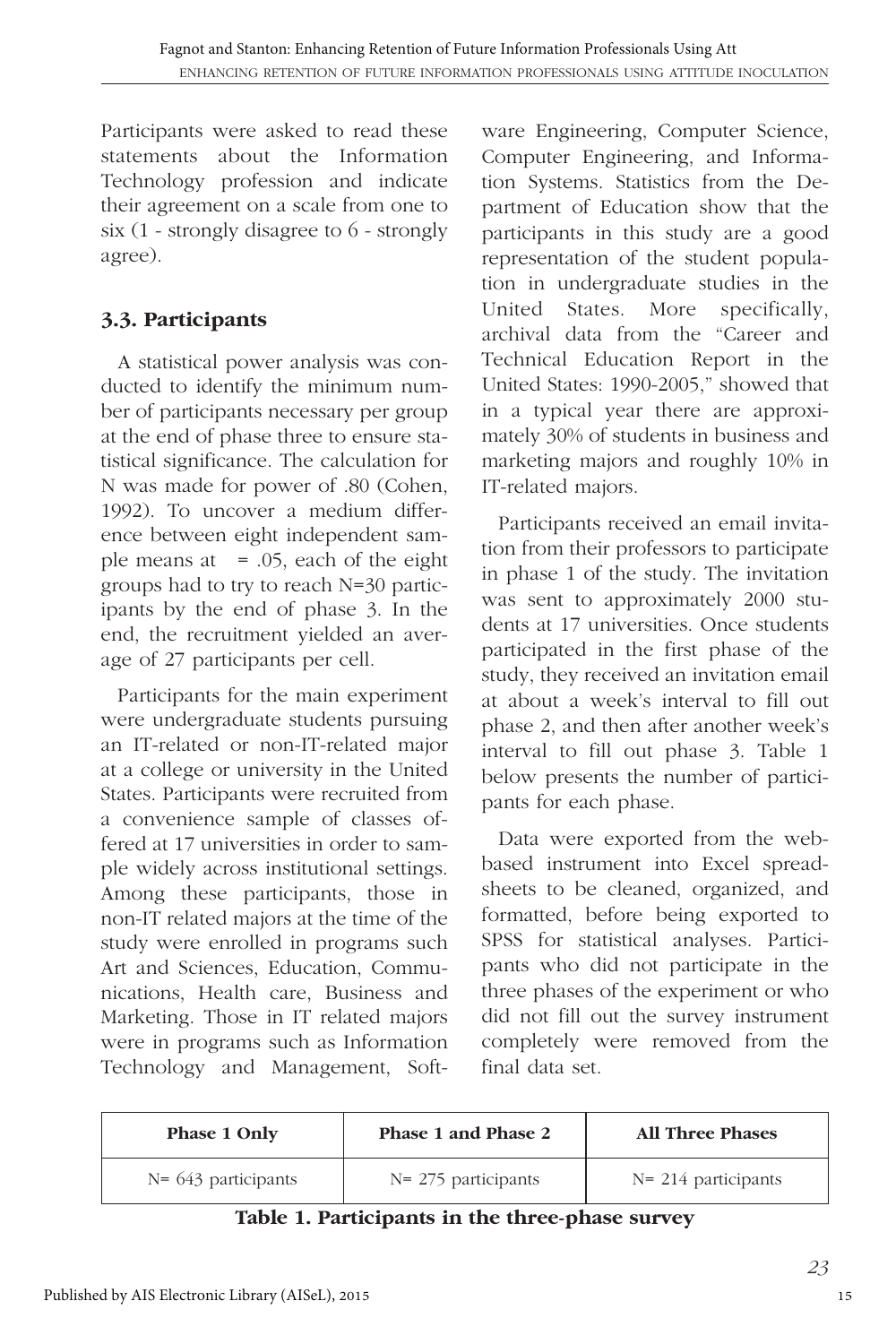Participants were asked to read these statements about the Information Technology profession and indicate their agreement on a scale from one to six (1 - strongly disagree to 6 - strongly agree).

# **3.3. Participants**

A statistical power analysis was conducted to identify the minimum number of participants necessary per group at the end of phase three to ensure statistical significance. The calculation for N was made for power of .80 (Cohen, 1992). To uncover a medium difference between eight independent sample means at  $= .05$ , each of the eight groups had to try to reach N=30 participants by the end of phase 3. In the end, the recruitment yielded an average of 27 participants per cell.

Participants for the main experiment were undergraduate students pursuing an IT-related or non-IT-related major at a college or university in the United States. Participants were recruited from a convenience sample of classes offered at 17 universities in order to sample widely across institutional settings. Among these participants, those in non-IT related majors at the time of the study were enrolled in programs such Art and Sciences, Education, Communications, Health care, Business and Marketing. Those in IT related majors were in programs such as Information Technology and Management, Soft-

ware Engineering, Computer Science, Computer Engineering, and Information Systems. Statistics from the Department of Education show that the participants in this study are a good representation of the student population in undergraduate studies in the United States. More specifically, archival data from the "Career and Technical Education Report in the United States: 1990-2005," showed that in a typical year there are approximately 30% of students in business and marketing majors and roughly 10% in IT-related majors.

Participants received an email invitation from their professors to participate in phase 1 of the study. The invitation was sent to approximately 2000 students at 17 universities. Once students participated in the first phase of the study, they received an invitation email at about a week's interval to fill out phase 2, and then after another week's interval to fill out phase 3. Table 1 below presents the number of participants for each phase.

Data were exported from the webbased instrument into Excel spreadsheets to be cleaned, organized, and formatted, before being exported to SPSS for statistical analyses. Participants who did not participate in the three phases of the experiment or who did not fill out the survey instrument completely were removed from the final data set.

| <b>Phase 1 Only</b>    | Phase 1 and Phase 2    | <b>All Three Phases</b> |
|------------------------|------------------------|-------------------------|
| $N = 643$ participants | $N = 275$ participants | $N = 214$ participants  |

**Table 1. Participants in the three-phase survey**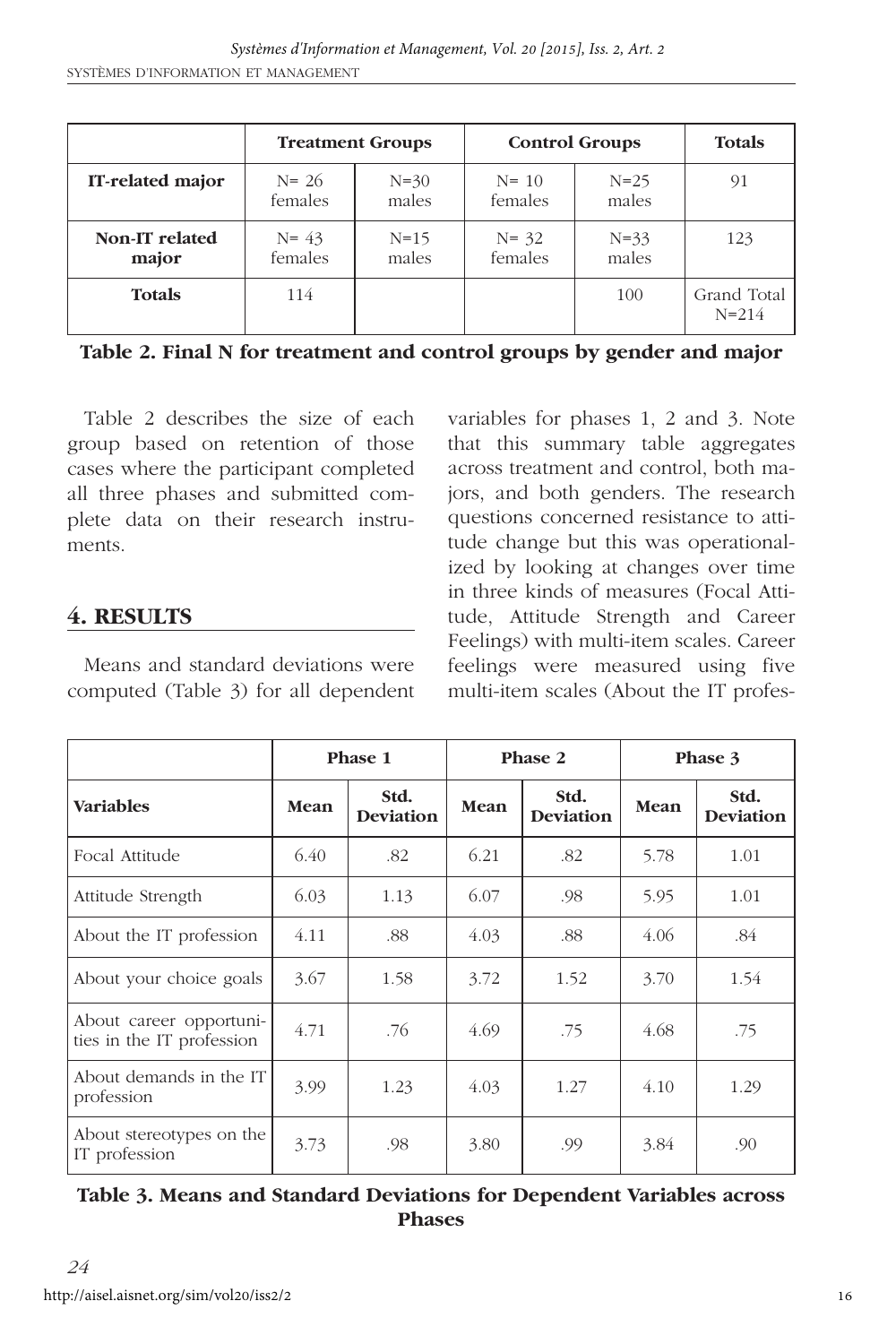|                         | <b>Treatment Groups</b> |                   | <b>Control Groups</b> | <b>Totals</b>     |                          |
|-------------------------|-------------------------|-------------------|-----------------------|-------------------|--------------------------|
| IT-related major        | $N = 26$<br>females     | $N = 30$<br>males | $N = 10$<br>females   | $N = 25$<br>males | 91                       |
| Non-IT related<br>major | $N = 43$<br>females     | $N = 15$<br>males | $N = 32$<br>females   | $N = 33$<br>males | 123                      |
| <b>Totals</b>           | 114                     |                   |                       | 100               | Grand Total<br>$N = 214$ |

**Table 2. Final N for treatment and control groups by gender and major**

Table 2 describes the size of each group based on retention of those cases where the participant completed all three phases and submitted complete data on their research instruments.

# **4. RESULTS**

Means and standard deviations were computed (Table 3) for all dependent variables for phases 1, 2 and 3. Note that this summary table aggregates across treatment and control, both majors, and both genders. The research questions concerned resistance to attitude change but this was operationalized by looking at changes over time in three kinds of measures (Focal Attitude, Attitude Strength and Career Feelings) with multi-item scales. Career feelings were measured using five multi-item scales (About the IT profes-

|                                                      |      | Phase 1<br>Phase 2       |      | Phase 3                  |      |                          |
|------------------------------------------------------|------|--------------------------|------|--------------------------|------|--------------------------|
| <b>Variables</b>                                     | Mean | Std.<br><b>Deviation</b> | Mean | Std.<br><b>Deviation</b> | Mean | Std.<br><b>Deviation</b> |
| Focal Attitude                                       | 6.40 | .82                      | 6.21 | .82                      | 5.78 | 1.01                     |
| Attitude Strength                                    | 6.03 | 1.13                     | 6.07 | .98                      | 5.95 | 1.01                     |
| About the IT profession                              | 4.11 | .88                      | 4.03 | .88                      | 4.06 | .84                      |
| About your choice goals                              | 3.67 | 1.58                     | 3.72 | 1.52                     | 3.70 | 1.54                     |
| About career opportuni-<br>ties in the IT profession | 4.71 | .76                      | 4.69 | .75                      | 4.68 | .75                      |
| About demands in the IT<br>profession                | 3.99 | 1.23                     | 4.03 | 1.27                     | 4.10 | 1.29                     |
| About stereotypes on the<br>IT profession            | 3.73 | .98                      | 3.80 | .99                      | 3.84 | .90                      |

#### **Table 3. Means and Standard Deviations for Dependent Variables across Phases**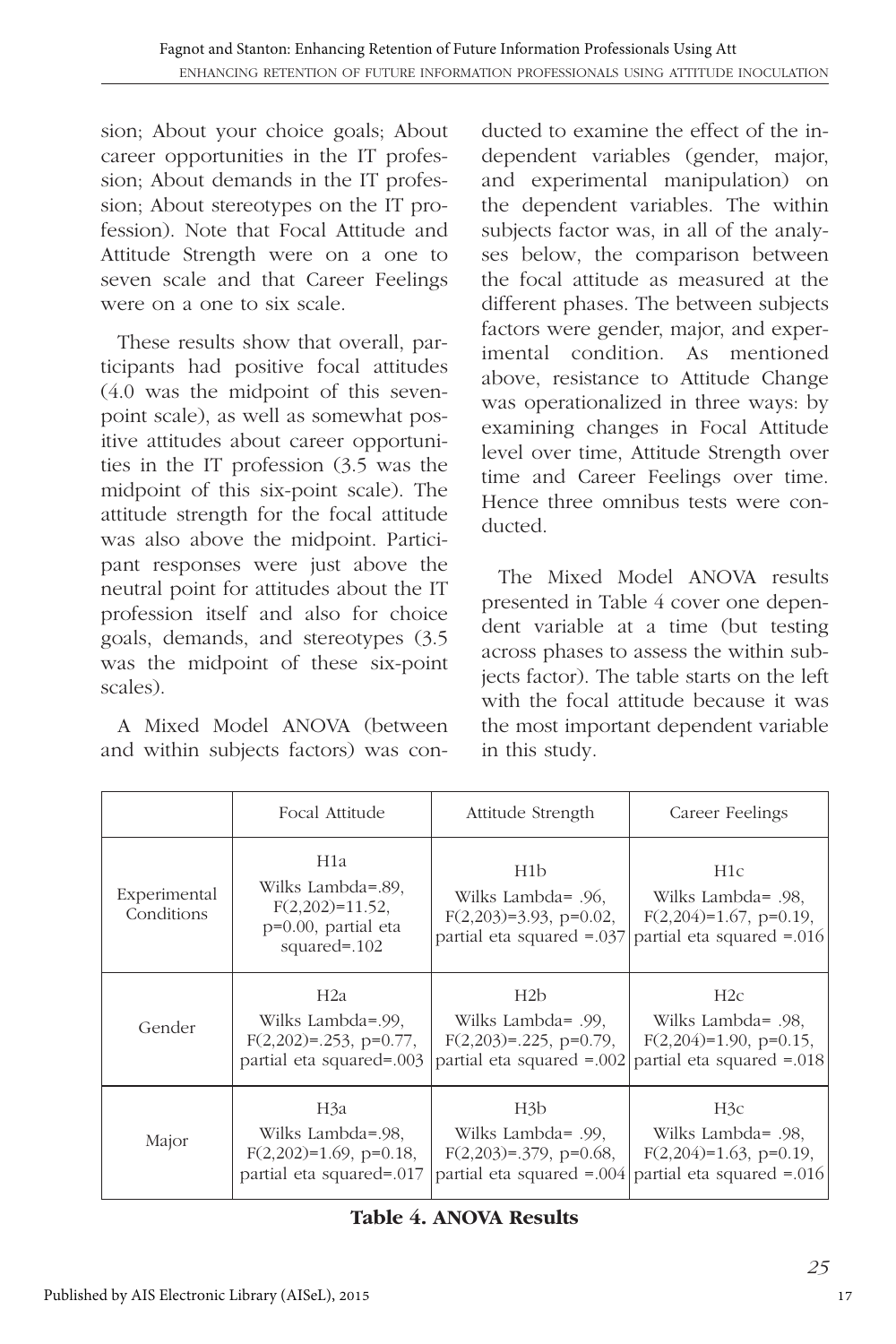sion; About your choice goals; About career opportunities in the IT profession: About demands in the IT profession; About stereotypes on the IT profession). Note that Focal Attitude and Attitude Strength were on a one to seven scale and that Career Feelings were on a one to six scale.

These results show that overall, participants had positive focal attitudes (4.0 was the midpoint of this sevenpoint scale), as well as somewhat positive attitudes about career opportunities in the IT profession (3.5 was the midpoint of this six-point scale). The attitude strength for the focal attitude was also above the midpoint. Participant responses were just above the neutral point for attitudes about the IT profession itself and also for choice goals, demands, and stereotypes (3.5 was the midpoint of these six-point scales).

A Mixed Model ANOVA (between and within subjects factors) was con-

ducted to examine the effect of the independent variables (gender, major, and experimental manipulation) on the dependent variables. The within subjects factor was, in all of the analyses below, the comparison between the focal attitude as measured at the different phases. The between subjects factors were gender, major, and experimental condition. As mentioned above, resistance to Attitude Change was operationalized in three ways: by examining changes in Focal Attitude level over time, Attitude Strength over time and Career Feelings over time. Hence three omnibus tests were conducted.

The Mixed Model ANOVA results presented in Table 4 cover one dependent variable at a time (but testing across phases to assess the within subjects factor). The table starts on the left with the focal attitude because it was the most important dependent variable in this study.

|                            | Focal Attitude                                                                              | Attitude Strength                                                                                | Career Feelings                                                                                     |  |  |
|----------------------------|---------------------------------------------------------------------------------------------|--------------------------------------------------------------------------------------------------|-----------------------------------------------------------------------------------------------------|--|--|
| Experimental<br>Conditions | H1a<br>Wilks Lambda=.89,<br>$F(2,202)=11.52$ ,<br>$p=0.00$ , partial eta<br>squared= $.102$ | H <sub>1</sub> b<br>Wilks Lambda= .96,<br>$F(2,203)=3.93$ , p=0.02,<br>partial eta squared = 037 | H <sub>1</sub> c<br>Wilks Lambda= .98.<br>$F(2,204)=1.67$ , p=0.19,<br>partial eta squared $=0.016$ |  |  |
| Gender                     | H2a                                                                                         | H2b                                                                                              | H2c                                                                                                 |  |  |
|                            | Wilks Lambda=.99,                                                                           | Wilks Lambda= .99.                                                                               | Wilks Lambda= .98.                                                                                  |  |  |
|                            | $F(2,202)=0.253$ , p=0.77,                                                                  | $F(2,203)=0.225$ , p=0.79,                                                                       | $F(2,204)=1.90$ , p=0.15,                                                                           |  |  |
|                            | partial eta squared=.003                                                                    | partial eta squared = 002                                                                        | partial eta squared = 018                                                                           |  |  |
| Major                      | H3a                                                                                         | H3 <sub>b</sub>                                                                                  | H3c                                                                                                 |  |  |
|                            | Wilks Lambda=.98,                                                                           | Wilks Lambda= .99,                                                                               | Wilks Lambda= .98.                                                                                  |  |  |
|                            | $F(2,202)=1.69$ , p=0.18,                                                                   | $F(2,203)=0.379$ , p=0.68,                                                                       | $F(2,204)=1.63$ , p=0.19,                                                                           |  |  |
|                            | partial eta squared=.017                                                                    | partial eta squared $=0.004$                                                                     | partial eta squared $=0.016$                                                                        |  |  |

**Table 4. ANOVA Results**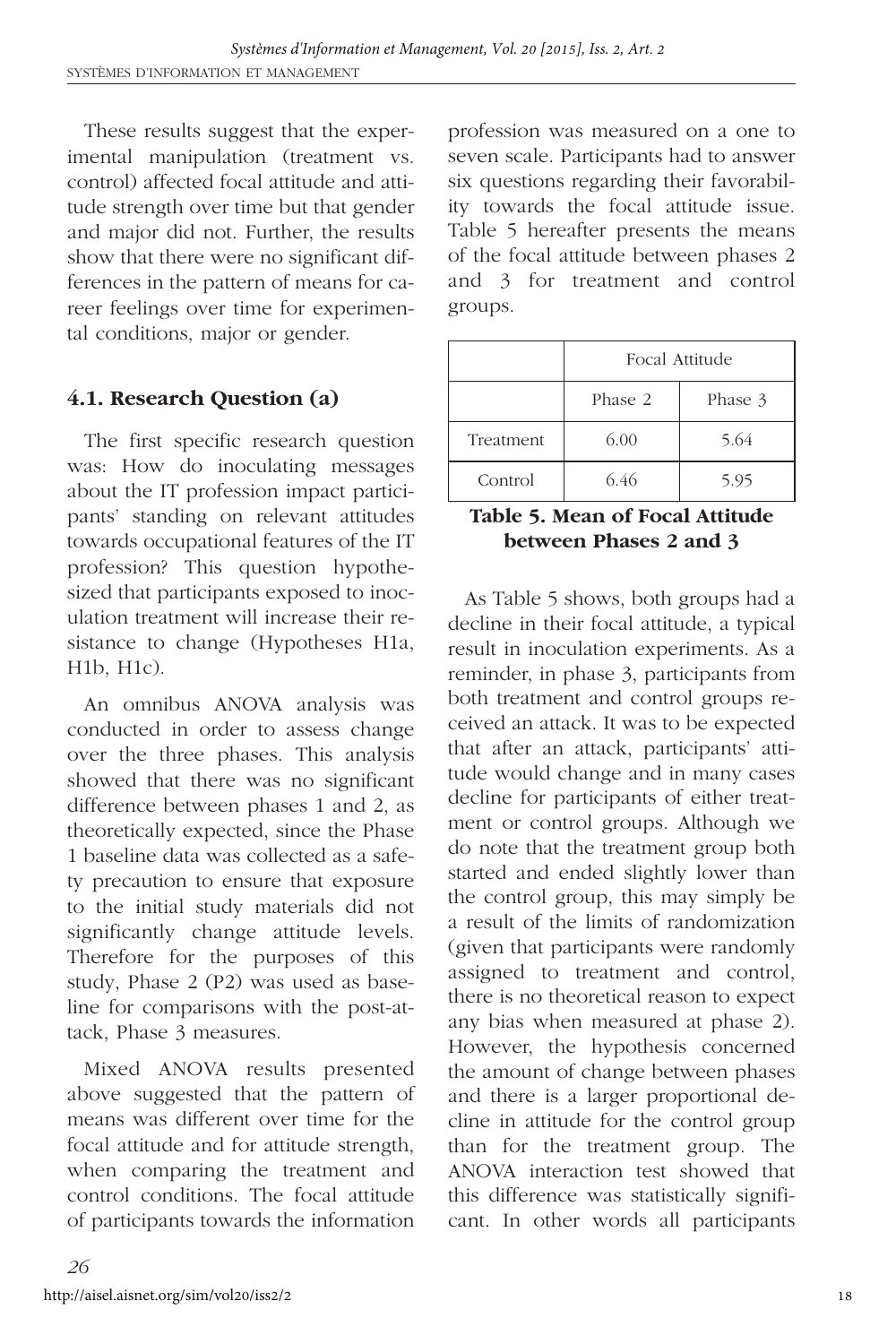These results suggest that the experimental manipulation (treatment vs. control) affected focal attitude and attitude strength over time but that gender and major did not. Further, the results show that there were no significant differences in the pattern of means for career feelings over time for experimental conditions, major or gender.

# **4.1. Research Question (a)**

The first specific research question was: How do inoculating messages about the IT profession impact participants' standing on relevant attitudes towards occupational features of the IT profession? This question hypothesized that participants exposed to inoculation treatment will increase their resistance to change (Hypotheses H1a, H1b, H1c).

An omnibus ANOVA analysis was conducted in order to assess change over the three phases. This analysis showed that there was no significant difference between phases 1 and 2, as theoretically expected, since the Phase 1 baseline data was collected as a safety precaution to ensure that exposure to the initial study materials did not significantly change attitude levels. Therefore for the purposes of this study, Phase 2 (P2) was used as baseline for comparisons with the post-attack, Phase 3 measures.

Mixed ANOVA results presented above suggested that the pattern of means was different over time for the focal attitude and for attitude strength, when comparing the treatment and control conditions. The focal attitude of participants towards the information

profession was measured on a one to seven scale. Participants had to answer six questions regarding their favorability towards the focal attitude issue. Table 5 hereafter presents the means of the focal attitude between phases 2 and 3 for treatment and control groups.

|           | Focal Attitude     |      |  |  |  |  |
|-----------|--------------------|------|--|--|--|--|
|           | Phase 2<br>Phase 3 |      |  |  |  |  |
| Treatment | 6.00               | 5.64 |  |  |  |  |
| Control   | 6.46               | 5.95 |  |  |  |  |

#### **Table 5. Mean of Focal Attitude between Phases 2 and 3**

As Table 5 shows, both groups had a decline in their focal attitude, a typical result in inoculation experiments. As a reminder, in phase 3, participants from both treatment and control groups received an attack. It was to be expected that after an attack, participants' attitude would change and in many cases decline for participants of either treatment or control groups. Although we do note that the treatment group both started and ended slightly lower than the control group, this may simply be a result of the limits of randomization (given that participants were randomly assigned to treatment and control, there is no theoretical reason to expect any bias when measured at phase 2). However, the hypothesis concerned the amount of change between phases and there is a larger proportional decline in attitude for the control group than for the treatment group. The ANOVA interaction test showed that this difference was statistically significant. In other words all participants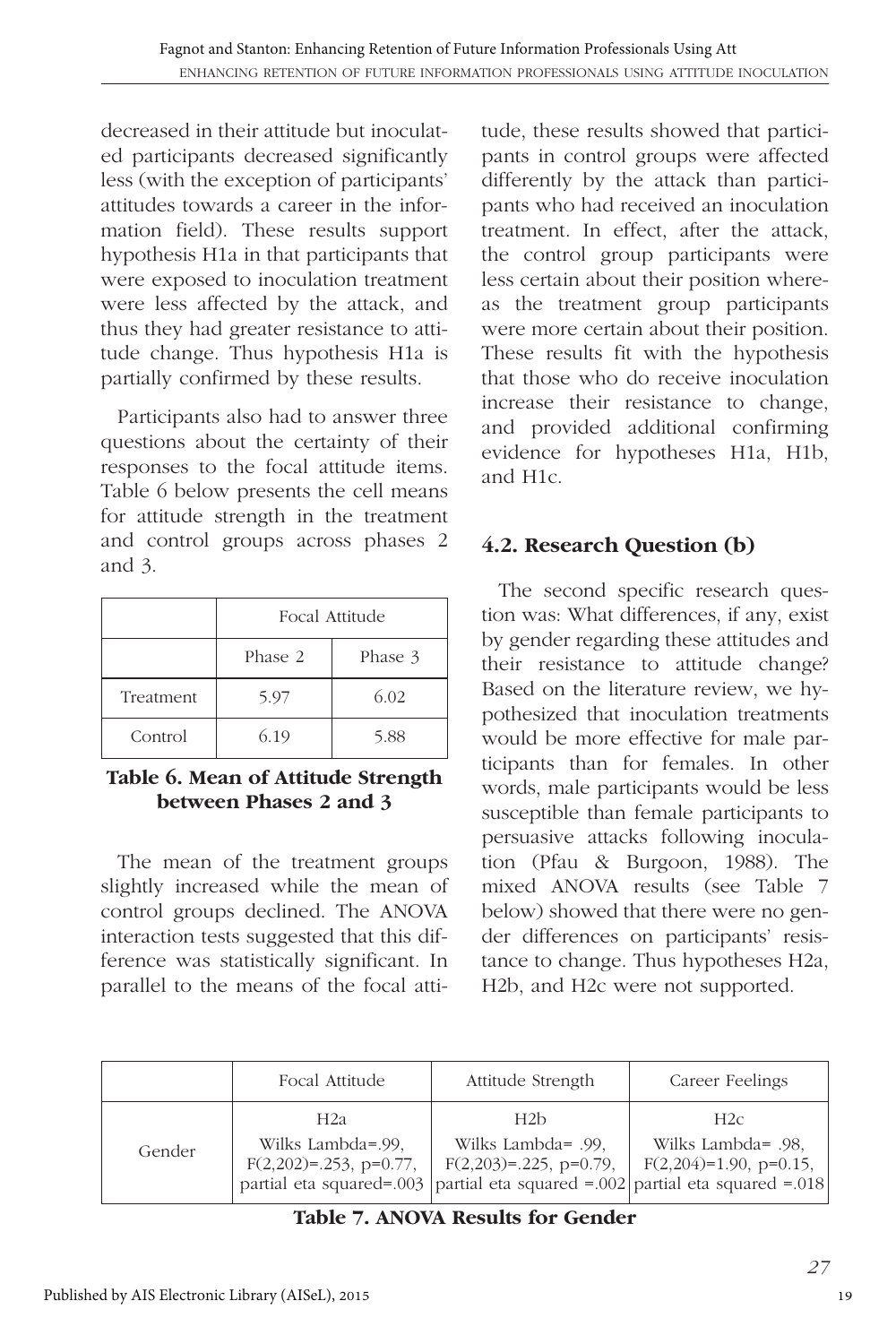decreased in their attitude but inoculated participants decreased significantly less (with the exception of participants' attitudes towards a career in the information field). These results support hypothesis H1a in that participants that were exposed to inoculation treatment were less affected by the attack, and thus they had greater resistance to attitude change. Thus hypothesis H1a is partially confirmed by these results.

Participants also had to answer three questions about the certainty of their responses to the focal attitude items. Table 6 below presents the cell means for attitude strength in the treatment and control groups across phases 2 and 3.

|           | Focal Attitude     |      |  |  |  |  |
|-----------|--------------------|------|--|--|--|--|
|           | Phase 2<br>Phase 3 |      |  |  |  |  |
| Treatment | 5.97               | 6.02 |  |  |  |  |
| Control   | 6.19               | 5.88 |  |  |  |  |

**Table 6. Mean of Attitude Strength between Phases 2 and 3**

The mean of the treatment groups slightly increased while the mean of control groups declined. The ANOVA interaction tests suggested that this difference was statistically significant. In parallel to the means of the focal atti-

tude, these results showed that participants in control groups were affected differently by the attack than participants who had received an inoculation treatment. In effect, after the attack, the control group participants were less certain about their position whereas the treatment group participants were more certain about their position. These results fit with the hypothesis that those who do receive inoculation increase their resistance to change, and provided additional confirming evidence for hypotheses H1a, H1b, and H1c.

# **4.2. Research Question (b)**

The second specific research question was: What differences, if any, exist by gender regarding these attitudes and their resistance to attitude change? Based on the literature review, we hypothesized that inoculation treatments would be more effective for male participants than for females. In other words, male participants would be less susceptible than female participants to persuasive attacks following inoculation (Pfau & Burgoon, 1988). The mixed ANOVA results (see Table 7 below) showed that there were no gender differences on participants' resistance to change. Thus hypotheses H2a, H2b, and H2c were not supported.

|        | Focal Attitude                                         | Attitude Strength                                       | Career Feelings                                                                                                                            |
|--------|--------------------------------------------------------|---------------------------------------------------------|--------------------------------------------------------------------------------------------------------------------------------------------|
| Gender | H2a<br>Wilks Lambda=.99.<br>$F(2,202)=0.253$ , p=0.77, | H2b<br>Wilks Lambda= .99.<br>$F(2,203)=0.225$ , p=0.79, | H2c<br>Wilks Lambda= .98,<br>$F(2,204)=1.90$ , p=0.15,<br>partial eta squared=.003   partial eta squared =.002   partial eta squared =.018 |

**Table 7. ANOVA Results for Gender**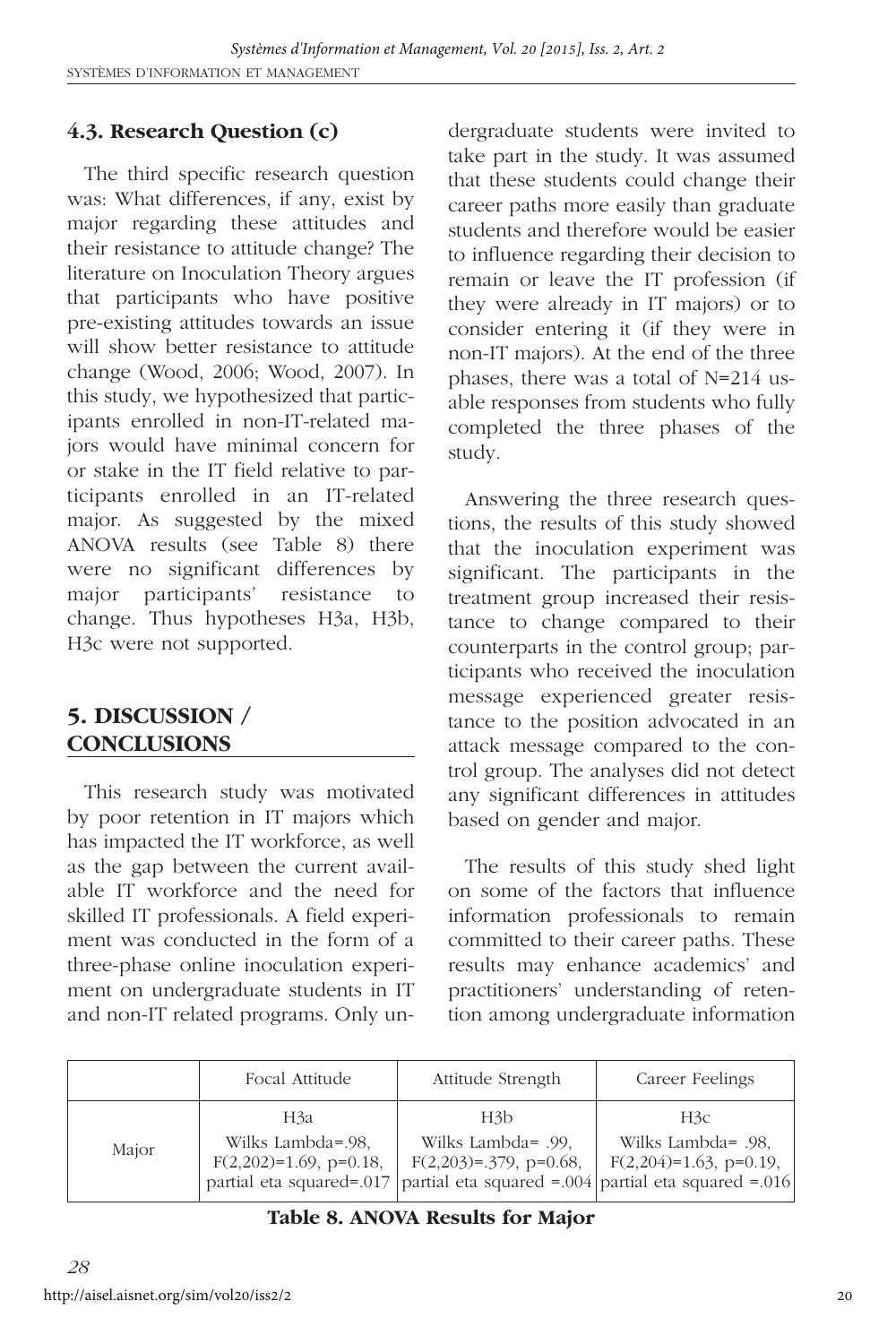# **4.3. Research Question (c)**

The third specific research question was: What differences, if any, exist by major regarding these attitudes and their resistance to attitude change? The literature on Inoculation Theory argues that participants who have positive pre-existing attitudes towards an issue will show better resistance to attitude change (Wood, 2006; Wood, 2007). In this study, we hypothesized that participants enrolled in non-IT-related majors would have minimal concern for or stake in the IT field relative to participants enrolled in an IT-related major. As suggested by the mixed ANOVA results (see Table 8) there were no significant differences by major participants' resistance to change. Thus hypotheses H3a, H3b, H3c were not supported.

# **5. DISCUSSION / CONCLUSIONS**

This research study was motivated by poor retention in IT majors which has impacted the IT workforce, as well as the gap between the current available IT workforce and the need for skilled IT professionals. A field experiment was conducted in the form of a three-phase online inoculation experiment on undergraduate students in IT and non-IT related programs. Only undergraduate students were invited to take part in the study. It was assumed that these students could change their career paths more easily than graduate students and therefore would be easier to influence regarding their decision to remain or leave the IT profession (if they were already in IT majors) or to consider entering it (if they were in non-IT majors). At the end of the three phases, there was a total of N=214 usable responses from students who fully completed the three phases of the study.

Answering the three research questions, the results of this study showed that the inoculation experiment was significant. The participants in the treatment group increased their resistance to change compared to their counterparts in the control group; participants who received the inoculation message experienced greater resistance to the position advocated in an attack message compared to the control group. The analyses did not detect any significant differences in attitudes based on gender and major.

The results of this study shed light on some of the factors that influence information professionals to remain committed to their career paths. These results may enhance academics' and practitioners' understanding of retention among undergraduate information

|       | Focal Attitude                                        | Attitude Strength                                                                                                                           | Career Feelings                                        |
|-------|-------------------------------------------------------|---------------------------------------------------------------------------------------------------------------------------------------------|--------------------------------------------------------|
| Major | H3a<br>Wilks Lambda=.98,<br>$F(2,202)=1.69$ , p=0.18, | H3b<br>Wilks Lambda= .99.<br>$F(2,203)=0.379$ , p=0.68,<br>partial eta squared=.017   partial eta squared =.004   partial eta squared =.016 | H3c<br>Wilks Lambda= .98.<br>$F(2,204)=1.63$ , p=0.19, |

**Table 8. ANOVA Results for Major**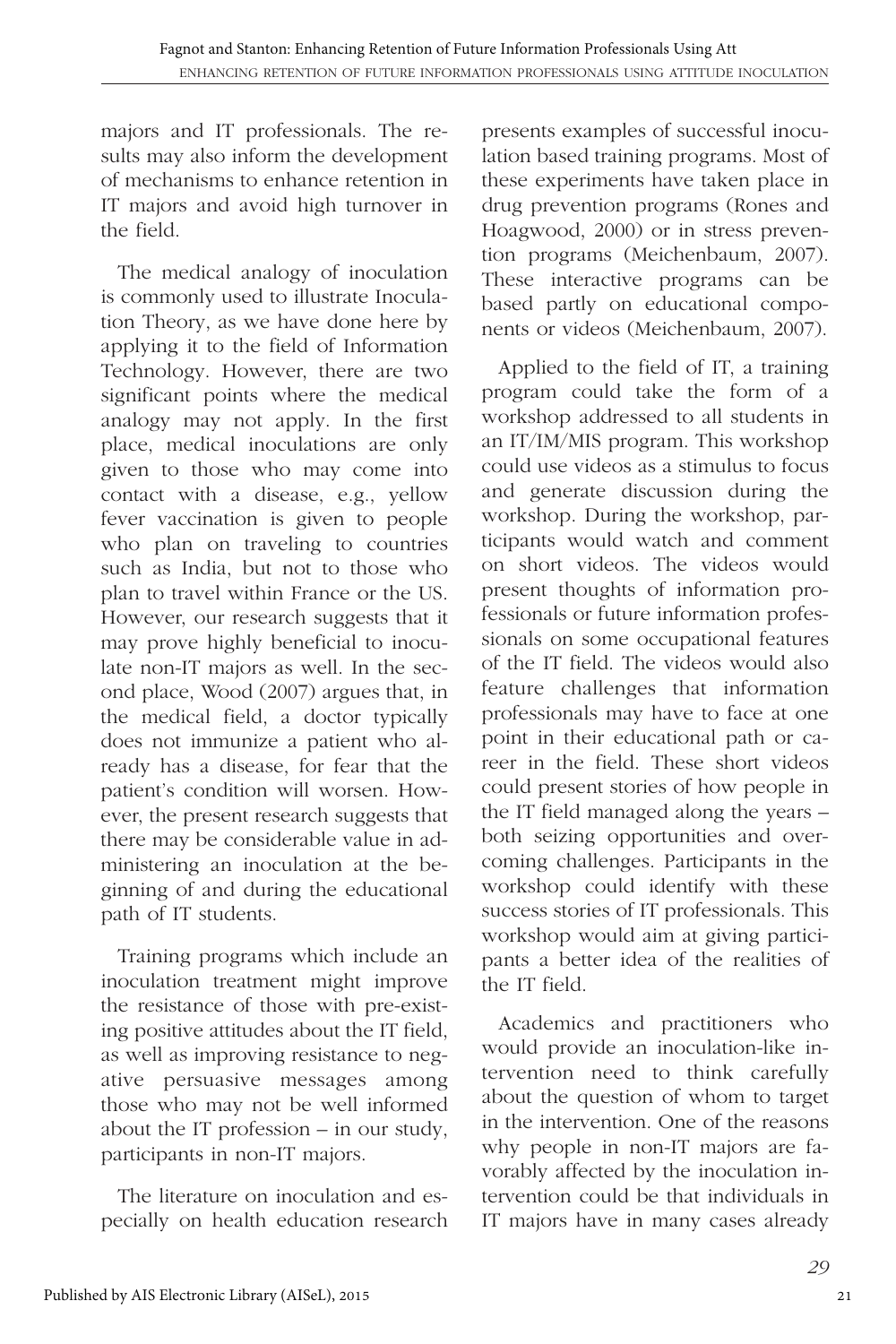majors and IT professionals. The results may also inform the development of mechanisms to enhance retention in IT majors and avoid high turnover in the field.

The medical analogy of inoculation is commonly used to illustrate Inoculation Theory, as we have done here by applying it to the field of Information Technology. However, there are two significant points where the medical analogy may not apply. In the first place, medical inoculations are only given to those who may come into contact with a disease, e.g., yellow fever vaccination is given to people who plan on traveling to countries such as India, but not to those who plan to travel within France or the US. However, our research suggests that it may prove highly beneficial to inoculate non-IT majors as well. In the second place, Wood (2007) argues that, in the medical field, a doctor typically does not immunize a patient who already has a disease, for fear that the patient's condition will worsen. However, the present research suggests that there may be considerable value in administering an inoculation at the beginning of and during the educational path of IT students.

Training programs which include an inoculation treatment might improve the resistance of those with pre-existing positive attitudes about the IT field, as well as improving resistance to negative persuasive messages among those who may not be well informed about the IT profession – in our study, participants in non-IT majors.

The literature on inoculation and especially on health education research

presents examples of successful inoculation based training programs. Most of these experiments have taken place in drug prevention programs (Rones and Hoagwood, 2000) or in stress prevention programs (Meichenbaum, 2007). These interactive programs can be based partly on educational components or videos (Meichenbaum, 2007).

Applied to the field of IT, a training program could take the form of a workshop addressed to all students in an IT/IM/MIS program. This workshop could use videos as a stimulus to focus and generate discussion during the workshop. During the workshop, participants would watch and comment on short videos. The videos would present thoughts of information professionals or future information professionals on some occupational features of the IT field. The videos would also feature challenges that information professionals may have to face at one point in their educational path or career in the field. These short videos could present stories of how people in the IT field managed along the years – both seizing opportunities and overcoming challenges. Participants in the workshop could identify with these success stories of IT professionals. This workshop would aim at giving participants a better idea of the realities of the IT field.

Academics and practitioners who would provide an inoculation-like intervention need to think carefully about the question of whom to target in the intervention. One of the reasons why people in non-IT majors are favorably affected by the inoculation intervention could be that individuals in IT majors have in many cases already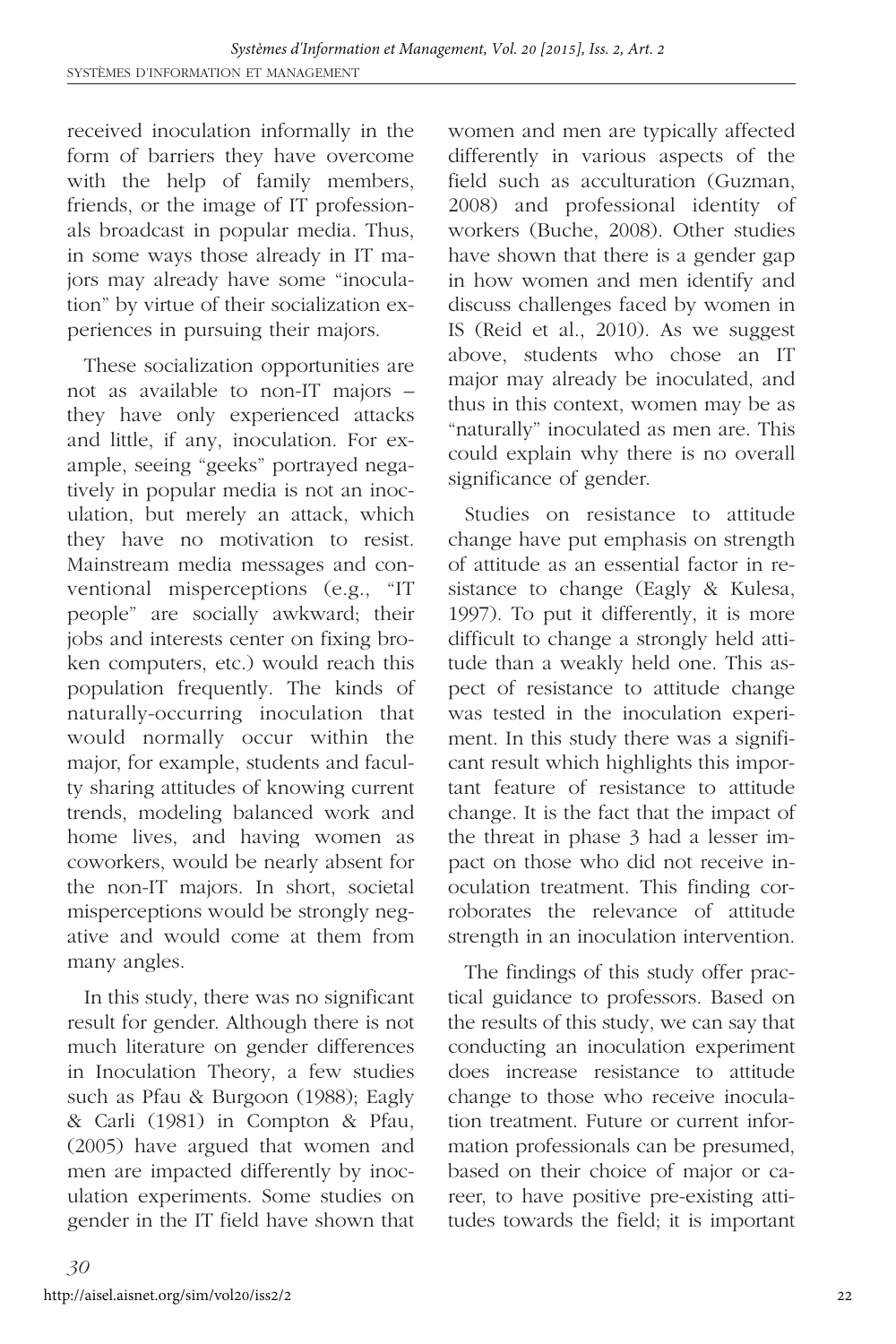received inoculation informally in the form of barriers they have overcome with the help of family members, friends, or the image of IT professionals broadcast in popular media. Thus, in some ways those already in IT majors may already have some "inoculation" by virtue of their socialization experiences in pursuing their majors.

These socialization opportunities are not as available to non-IT majors – they have only experienced attacks and little, if any, inoculation. For example, seeing "geeks" portrayed negatively in popular media is not an inoculation, but merely an attack, which they have no motivation to resist. Mainstream media messages and conventional misperceptions (e.g., "IT people" are socially awkward; their jobs and interests center on fixing broken computers, etc.) would reach this population frequently. The kinds of naturally-occurring inoculation that would normally occur within the major, for example, students and faculty sharing attitudes of knowing current trends, modeling balanced work and home lives, and having women as coworkers, would be nearly absent for the non-IT majors. In short, societal misperceptions would be strongly negative and would come at them from many angles.

In this study, there was no significant result for gender. Although there is not much literature on gender differences in Inoculation Theory, a few studies such as Pfau & Burgoon (1988); Eagly & Carli (1981) in Compton & Pfau, (2005) have argued that women and men are impacted differently by inoculation experiments. Some studies on gender in the IT field have shown that women and men are typically affected differently in various aspects of the field such as acculturation (Guzman, 2008) and professional identity of workers (Buche, 2008). Other studies have shown that there is a gender gap in how women and men identify and discuss challenges faced by women in IS (Reid et al., 2010). As we suggest above, students who chose an IT major may already be inoculated, and thus in this context, women may be as "naturally" inoculated as men are. This could explain why there is no overall significance of gender.

Studies on resistance to attitude change have put emphasis on strength of attitude as an essential factor in resistance to change (Eagly & Kulesa, 1997). To put it differently, it is more difficult to change a strongly held attitude than a weakly held one. This aspect of resistance to attitude change was tested in the inoculation experiment. In this study there was a significant result which highlights this important feature of resistance to attitude change. It is the fact that the impact of the threat in phase 3 had a lesser impact on those who did not receive inoculation treatment. This finding corroborates the relevance of attitude strength in an inoculation intervention.

The findings of this study offer practical guidance to professors. Based on the results of this study, we can say that conducting an inoculation experiment does increase resistance to attitude change to those who receive inoculation treatment. Future or current information professionals can be presumed, based on their choice of major or career, to have positive pre-existing attitudes towards the field; it is important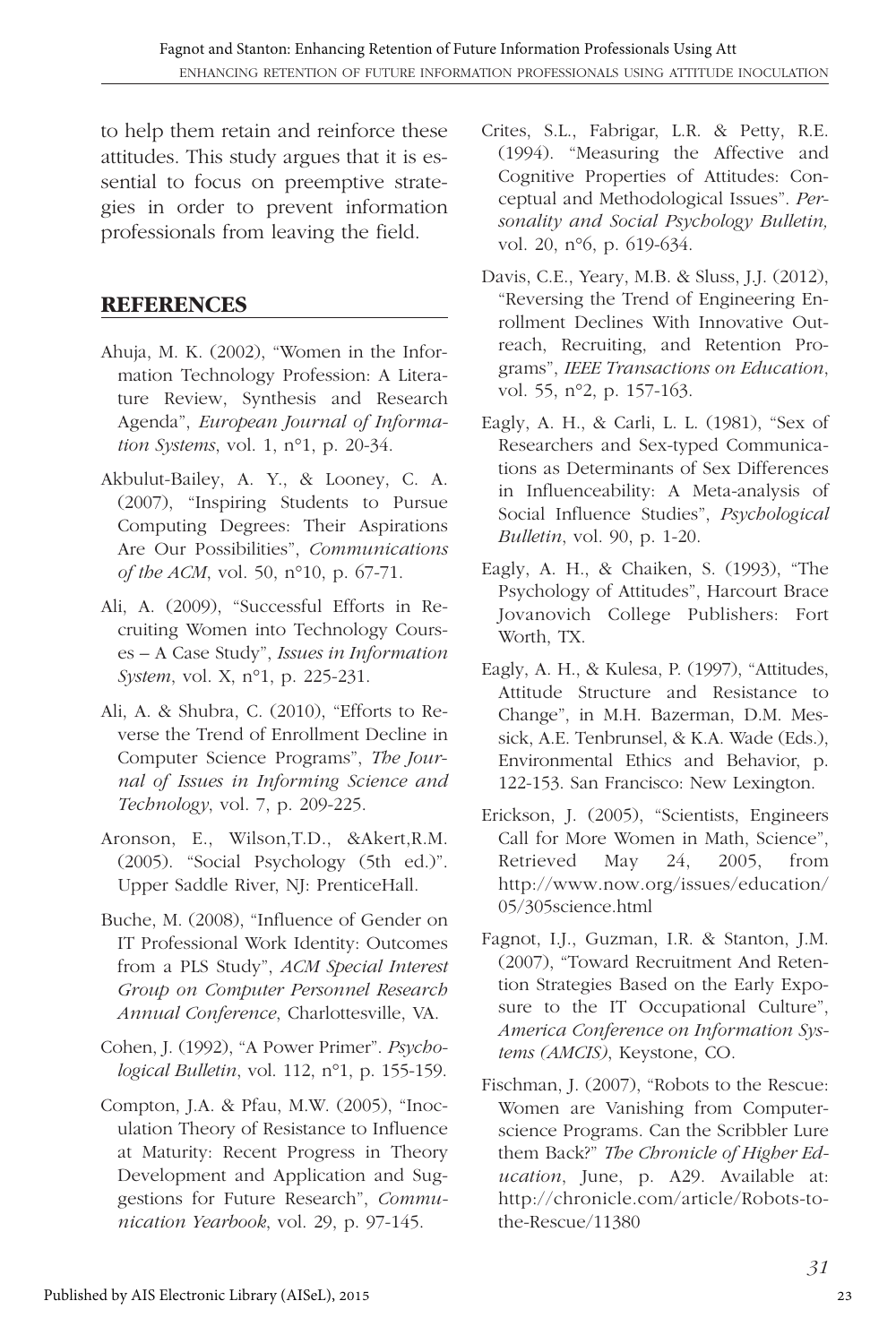to help them retain and reinforce these attitudes. This study argues that it is essential to focus on preemptive strategies in order to prevent information professionals from leaving the field.

# **REFERENCES**

- Ahuja, M. K. (2002), "Women in the Information Technology Profession: A Literature Review, Synthesis and Research Agenda", *European Journal of Information Systems*, vol. 1, n°1, p. 20-34.
- Akbulut-Bailey, A. Y., & Looney, C. A. (2007), "Inspiring Students to Pursue Computing Degrees: Their Aspirations Are Our Possibilities", *Communications of the ACM*, vol. 50, n°10, p. 67-71.
- Ali, A. (2009), "Successful Efforts in Recruiting Women into Technology Courses – A Case Study", *Issues in Information System*, vol. X, n°1, p. 225-231.
- Ali, A. & Shubra, C. (2010), "Efforts to Reverse the Trend of Enrollment Decline in Computer Science Programs", *The Journal of Issues in Informing Science and Technology*, vol. 7, p. 209-225.
- Aronson, E., Wilson,T.D., &Akert,R.M. (2005). "Social Psychology (5th ed.)". Upper Saddle River, NJ: PrenticeHall.
- Buche, M. (2008), "Influence of Gender on IT Professional Work Identity: Outcomes from a PLS Study", *ACM Special Interest Group on Computer Personnel Research Annual Conference*, Charlottesville, VA.
- Cohen, J. (1992), "A Power Primer". *Psychological Bulletin*, vol. 112, n°1, p. 155-159.
- Compton, J.A. & Pfau, M.W. (2005), "Inoculation Theory of Resistance to Influence at Maturity: Recent Progress in Theory Development and Application and Suggestions for Future Research", *Communication Yearbook*, vol. 29, p. 97-145.
- Crites, S.L., Fabrigar, L.R. & Petty, R.E. (1994). "Measuring the Affective and Cognitive Properties of Attitudes: Conceptual and Methodological Issues". *Personality and Social Psychology Bulletin,* vol. 20, n°6, p. 619-634.
- Davis, C.E., Yeary, M.B. & Sluss, J.J. (2012), "Reversing the Trend of Engineering Enrollment Declines With Innovative Outreach, Recruiting, and Retention Programs", *IEEE Transactions on Education*, vol. 55, n°2, p. 157-163.
- Eagly, A. H., & Carli, L. L. (1981), "Sex of Researchers and Sex-typed Communications as Determinants of Sex Differences in Influenceability: A Meta-analysis of Social Influence Studies", *Psychological Bulletin*, vol. 90, p. 1-20.
- Eagly, A. H., & Chaiken, S. (1993), "The Psychology of Attitudes", Harcourt Brace Jovanovich College Publishers: Fort Worth, TX.
- Eagly, A. H., & Kulesa, P. (1997), "Attitudes, Attitude Structure and Resistance to Change", in M.H. Bazerman, D.M. Messick, A.E. Tenbrunsel, & K.A. Wade (Eds.), Environmental Ethics and Behavior, p. 122-153. San Francisco: New Lexington.
- Erickson, J. (2005), "Scientists, Engineers Call for More Women in Math, Science", Retrieved May 24, 2005, from http://www.now.org/issues/education/ 05/305science.html
- Fagnot, I.J., Guzman, I.R. & Stanton, J.M. (2007), "Toward Recruitment And Retention Strategies Based on the Early Exposure to the IT Occupational Culture", *America Conference on Information Systems (AMCIS)*, Keystone, CO.
- Fischman, J. (2007), "Robots to the Rescue: Women are Vanishing from Computerscience Programs. Can the Scribbler Lure them Back?" *The Chronicle of Higher Education*, June, p. A29. Available at: http://chronicle.com/article/Robots-tothe-Rescue/11380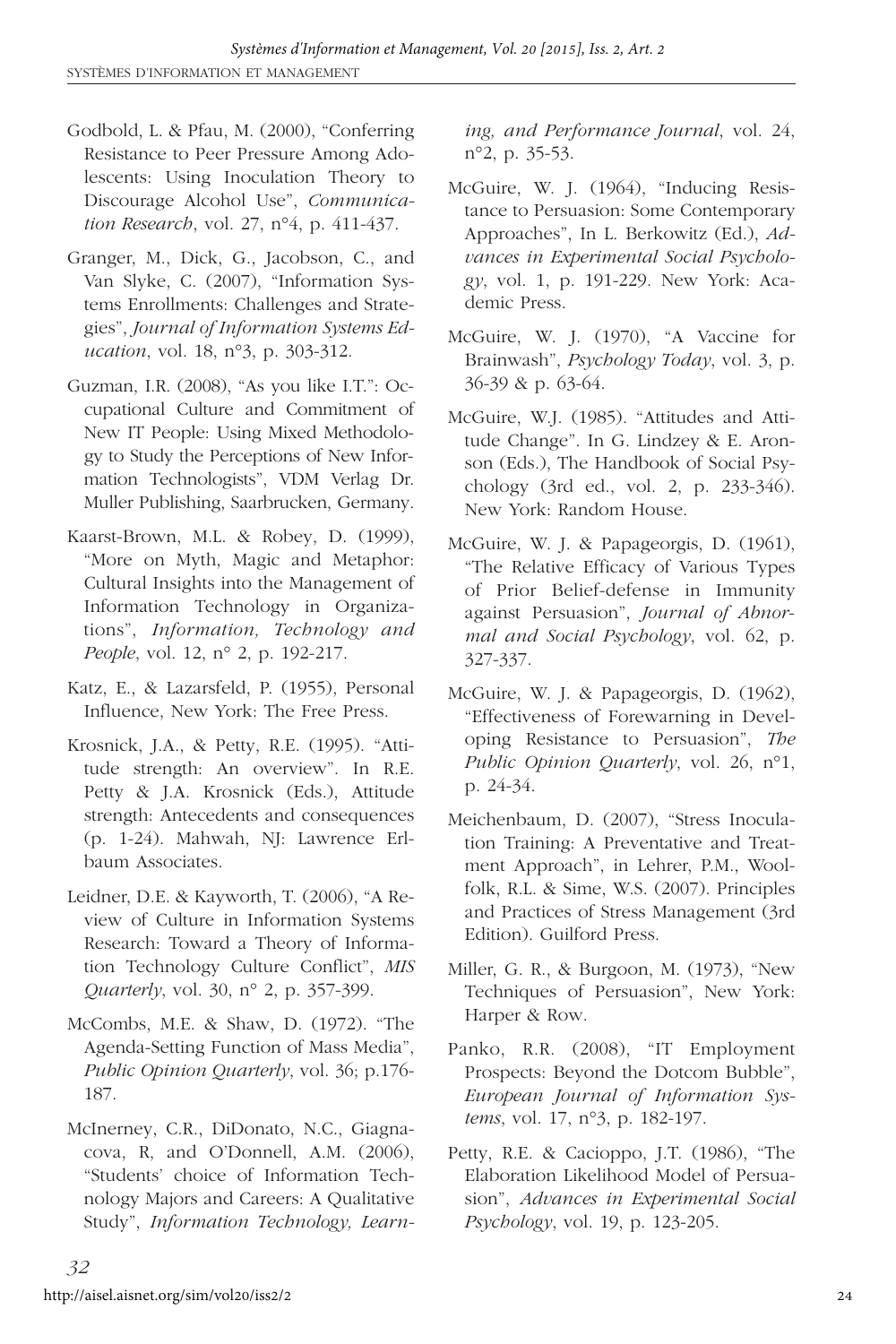- Godbold, L. & Pfau, M. (2000), "Conferring Resistance to Peer Pressure Among Adolescents: Using Inoculation Theory to Discourage Alcohol Use", *Communication Research*, vol. 27, n°4, p. 411-437.
- Granger, M., Dick, G., Jacobson, C., and Van Slyke, C. (2007), "Information Systems Enrollments: Challenges and Strategies", *Journal of Information Systems Education*, vol. 18, n°3, p. 303-312.
- Guzman, I.R. (2008), "As you like I.T.": Occupational Culture and Commitment of New IT People: Using Mixed Methodology to Study the Perceptions of New Information Technologists", VDM Verlag Dr. Muller Publishing, Saarbrucken, Germany.
- Kaarst-Brown, M.L. & Robey, D. (1999), "More on Myth, Magic and Metaphor: Cultural Insights into the Management of Information Technology in Organizations", *Information, Technology and People*, vol. 12, n° 2, p. 192-217.
- Katz, E., & Lazarsfeld, P. (1955), Personal Influence, New York: The Free Press.
- Krosnick, J.A., & Petty, R.E. (1995). "Attitude strength: An overview". In R.E. Petty & J.A. Krosnick (Eds.), Attitude strength: Antecedents and consequences (p. 1-24). Mahwah, NJ: Lawrence Erlbaum Associates.
- Leidner, D.E. & Kayworth, T. (2006), "A Review of Culture in Information Systems Research: Toward a Theory of Information Technology Culture Conflict", *MIS Quarterly*, vol. 30, n° 2, p. 357-399.
- McCombs, M.E. & Shaw, D. (1972). "The Agenda-Setting Function of Mass Media", *Public Opinion Quarterly*, vol. 36; p.176- 187.
- McInerney, C.R., DiDonato, N.C., Giagnacova, R, and O'Donnell, A.M. (2006), "Students' choice of Information Technology Majors and Careers: A Qualitative Study", *Information Technology, Learn-*

*ing, and Performance Journal*, vol. 24, n°2, p. 35-53.

- McGuire, W. J. (1964), "Inducing Resistance to Persuasion: Some Contemporary Approaches", In L. Berkowitz (Ed.), *Advances in Experimental Social Psychology*, vol. 1, p. 191-229. New York: Academic Press.
- McGuire, W. J. (1970), "A Vaccine for Brainwash", *Psychology Today*, vol. 3, p. 36-39 & p. 63-64.
- McGuire, W.J. (1985). "Attitudes and Attitude Change". In G. Lindzey & E. Aronson (Eds.), The Handbook of Social Psychology (3rd ed., vol. 2, p. 233-346). New York: Random House.
- McGuire, W. J. & Papageorgis, D. (1961), "The Relative Efficacy of Various Types of Prior Belief-defense in Immunity against Persuasion", *Journal of Abnormal and Social Psychology*, vol. 62, p. 327-337.
- McGuire, W. J. & Papageorgis, D. (1962), "Effectiveness of Forewarning in Developing Resistance to Persuasion", *The Public Opinion Quarterly*, vol. 26, n°1, p. 24-34.
- Meichenbaum, D. (2007), "Stress Inoculation Training: A Preventative and Treatment Approach", in Lehrer, P.M., Woolfolk, R.L. & Sime, W.S. (2007). Principles and Practices of Stress Management (3rd Edition). Guilford Press.
- Miller, G. R., & Burgoon, M. (1973), "New Techniques of Persuasion", New York: Harper & Row.
- Panko, R.R. (2008), "IT Employment Prospects: Beyond the Dotcom Bubble", *European Journal of Information Systems*, vol. 17, n°3, p. 182-197.
- Petty, R.E. & Cacioppo, J.T. (1986), "The Elaboration Likelihood Model of Persuasion", *Advances in Experimental Social Psychology*, vol. 19, p. 123-205.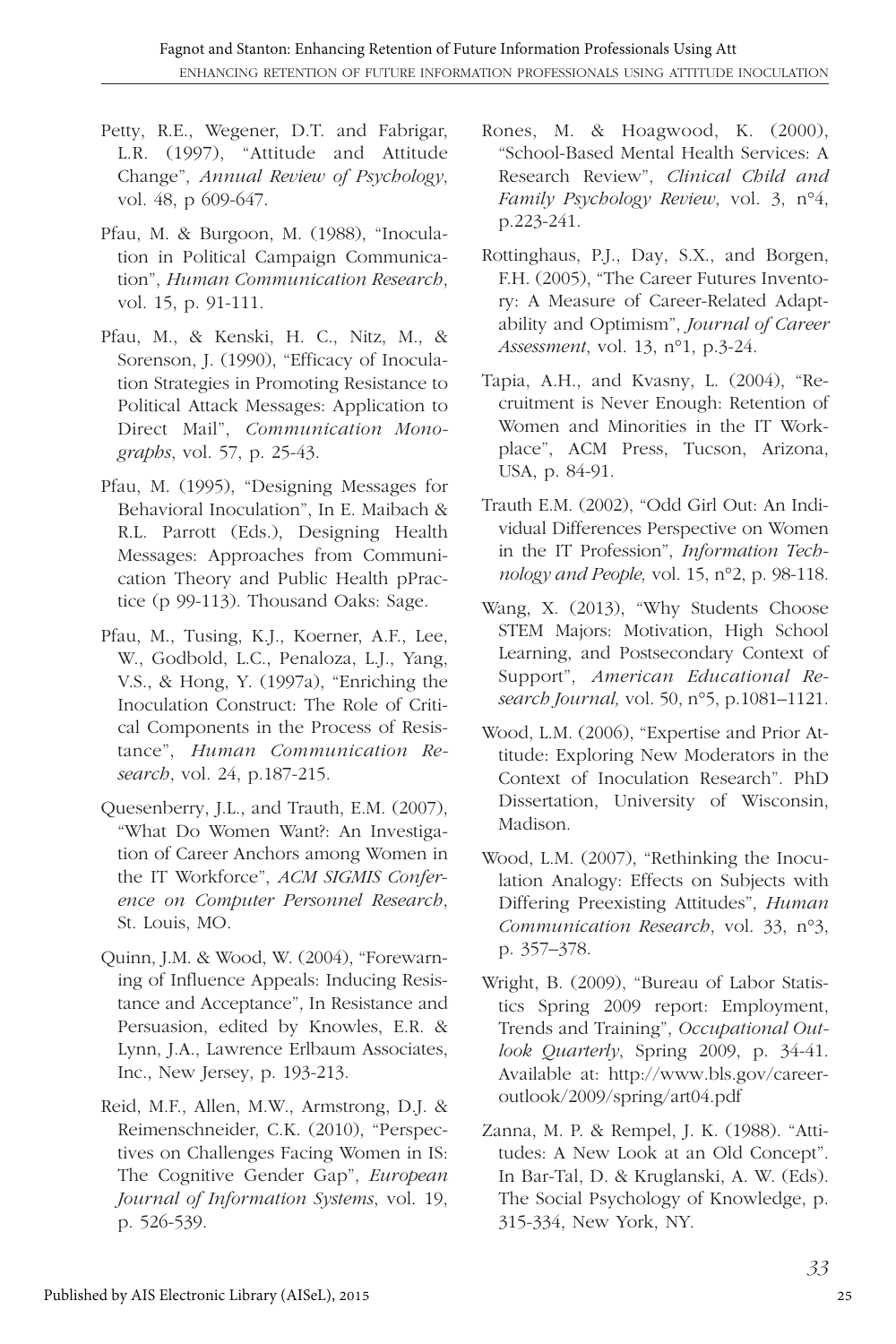- Petty, R.E., Wegener, D.T. and Fabrigar, L.R. (1997), "Attitude and Attitude Change", *Annual Review of Psychology*, vol. 48, p 609-647.
- Pfau, M. & Burgoon, M. (1988), "Inoculation in Political Campaign Communication", *Human Communication Research*, vol. 15, p. 91-111.
- Pfau, M., & Kenski, H. C., Nitz, M., & Sorenson, J. (1990), "Efficacy of Inoculation Strategies in Promoting Resistance to Political Attack Messages: Application to Direct Mail", *Communication Monographs*, vol. 57, p. 25-43.
- Pfau, M. (1995), "Designing Messages for Behavioral Inoculation", In E. Maibach & R.L. Parrott (Eds.), Designing Health Messages: Approaches from Communication Theory and Public Health pPractice (p 99-113). Thousand Oaks: Sage.
- Pfau, M., Tusing, K.J., Koerner, A.F., Lee, W., Godbold, L.C., Penaloza, L.J., Yang, V.S., & Hong, Y. (1997a), "Enriching the Inoculation Construct: The Role of Critical Components in the Process of Resistance", *Human Communication Research*, vol. 24, p.187-215.
- Quesenberry, J.L., and Trauth, E.M. (2007), "What Do Women Want?: An Investigation of Career Anchors among Women in the IT Workforce", *ACM SIGMIS Conference on Computer Personnel Research*, St. Louis, MO.
- Quinn, J.M. & Wood, W. (2004), "Forewarning of Influence Appeals: Inducing Resistance and Acceptance", In Resistance and Persuasion, edited by Knowles, E.R. & Lynn, J.A., Lawrence Erlbaum Associates, Inc., New Jersey, p. 193-213.
- Reid, M.F., Allen, M.W., Armstrong, D.J. & Reimenschneider, C.K. (2010), "Perspectives on Challenges Facing Women in IS: The Cognitive Gender Gap", *European Journal of Information Systems*, vol. 19, p. 526-539.
- Rones, M. & Hoagwood, K. (2000), "School-Based Mental Health Services: A Research Review", *Clinical Child and Family Psychology Review*, vol. 3, n°4, p.223-241.
- Rottinghaus, P.J., Day, S.X., and Borgen, F.H. (2005), "The Career Futures Inventory: A Measure of Career-Related Adaptability and Optimism", *Journal of Career Assessment*, vol. 13, n°1, p.3-24.
- Tapia, A.H., and Kvasny, L. (2004), "Recruitment is Never Enough: Retention of Women and Minorities in the IT Workplace", ACM Press, Tucson, Arizona, USA, p. 84-91.
- Trauth E.M. (2002), "Odd Girl Out: An Individual Differences Perspective on Women in the IT Profession", *Information Technology and People,* vol. 15, n°2, p. 98-118.
- Wang, X. (2013), "Why Students Choose STEM Majors: Motivation, High School Learning, and Postsecondary Context of Support", *American Educational Research Journal,* vol. 50, n°5, p.1081–1121.
- Wood, L.M. (2006), "Expertise and Prior Attitude: Exploring New Moderators in the Context of Inoculation Research". PhD Dissertation, University of Wisconsin, Madison.
- Wood, L.M. (2007), "Rethinking the Inoculation Analogy: Effects on Subjects with Differing Preexisting Attitudes", *Human Communication Research*, vol. 33, n°3, p. 357–378.
- Wright, B. (2009), "Bureau of Labor Statistics Spring 2009 report: Employment, Trends and Training", *Occupational Outlook Quarterly*, Spring 2009, p. 34-41. Available at: http://www.bls.gov/careeroutlook/2009/spring/art04.pdf
- Zanna, M. P. & Rempel, J. K. (1988). "Attitudes: A New Look at an Old Concept". In Bar-Tal, D. & Kruglanski, A. W. (Eds). The Social Psychology of Knowledge, p. 315-334, New York, NY.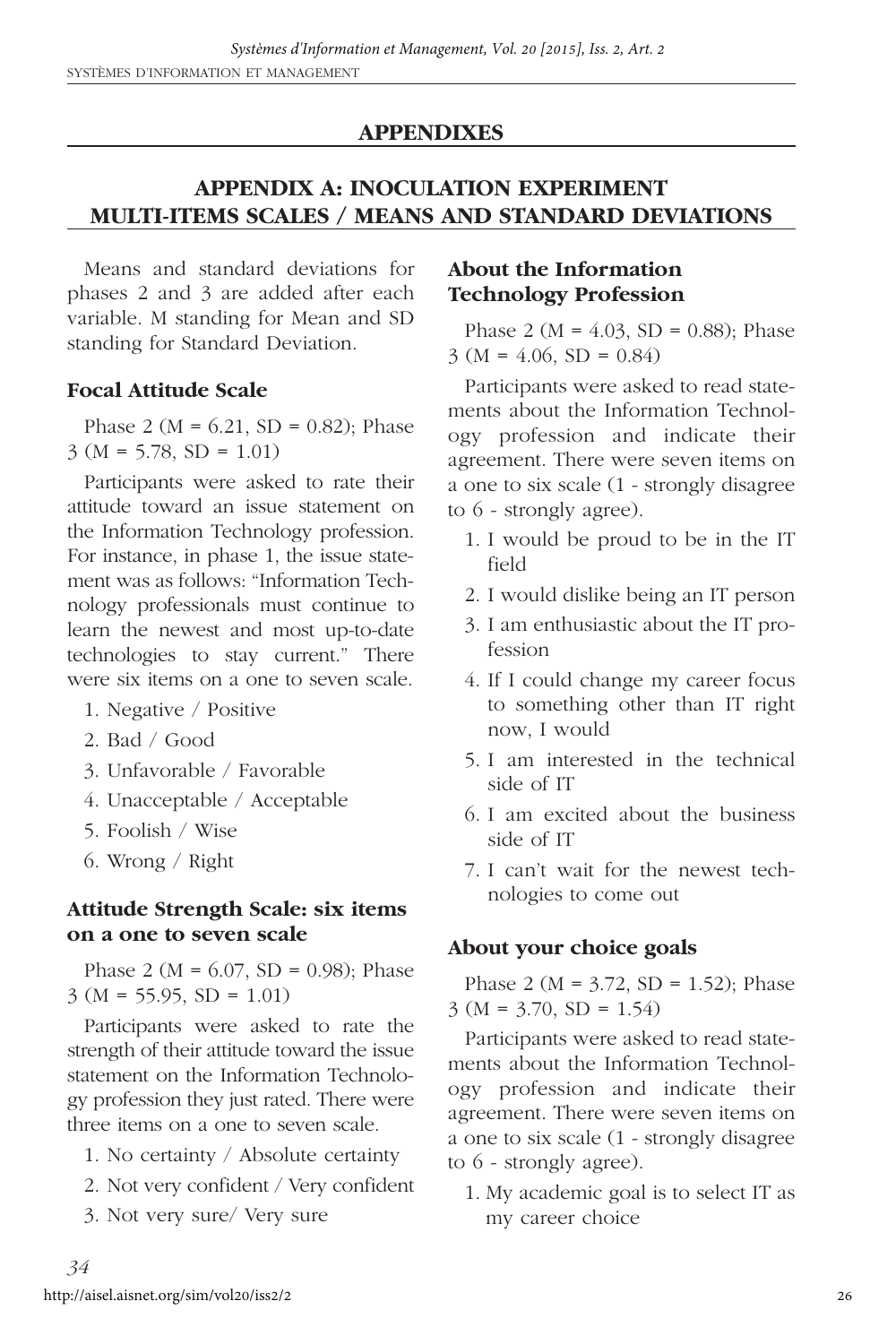#### **APPENDIXES**

# **APPENDIX A: INOCULATION EXPERIMENT MULTI-ITEMS SCALES / MEANS AND STANDARD DEVIATIONS**

Means and standard deviations for phases 2 and 3 are added after each variable. M standing for Mean and SD standing for Standard Deviation.

#### **Focal Attitude Scale**

Phase 2 ( $M = 6.21$ ,  $SD = 0.82$ ); Phase  $3 (M = 5.78, SD = 1.01)$ 

Participants were asked to rate their attitude toward an issue statement on the Information Technology profession. For instance, in phase 1, the issue statement was as follows: "Information Technology professionals must continue to learn the newest and most up-to-date technologies to stay current." There were six items on a one to seven scale.

- 1. Negative / Positive
- 2. Bad / Good
- 3. Unfavorable / Favorable
- 4. Unacceptable / Acceptable
- 5. Foolish / Wise
- 6. Wrong / Right

#### **Attitude Strength Scale: six items on a one to seven scale**

Phase 2 ( $M = 6.07$ , SD = 0.98); Phase  $3 (M = 55.95, SD = 1.01)$ 

Participants were asked to rate the strength of their attitude toward the issue statement on the Information Technology profession they just rated. There were three items on a one to seven scale.

- 1. No certainty / Absolute certainty
- 2. Not very confident / Very confident
- 3. Not very sure/ Very sure

#### **About the Information Technology Profession**

Phase 2 ( $M = 4.03$ , SD = 0.88); Phase  $3 (M = 4.06, SD = 0.84)$ 

Participants were asked to read statements about the Information Technology profession and indicate their agreement. There were seven items on a one to six scale (1 - strongly disagree to 6 - strongly agree).

- 1. I would be proud to be in the IT field
- 2. I would dislike being an IT person
- 3. I am enthusiastic about the IT profession
- 4. If I could change my career focus to something other than IT right now, I would
- 5. I am interested in the technical side of IT
- 6. I am excited about the business side of IT
- 7. I can't wait for the newest technologies to come out

#### **About your choice goals**

Phase 2 ( $M = 3.72$ ,  $SD = 1.52$ ); Phase  $3 (M = 3.70, SD = 1.54)$ 

Participants were asked to read statements about the Information Technology profession and indicate their agreement. There were seven items on a one to six scale (1 - strongly disagree to 6 - strongly agree).

1. My academic goal is to select IT as my career choice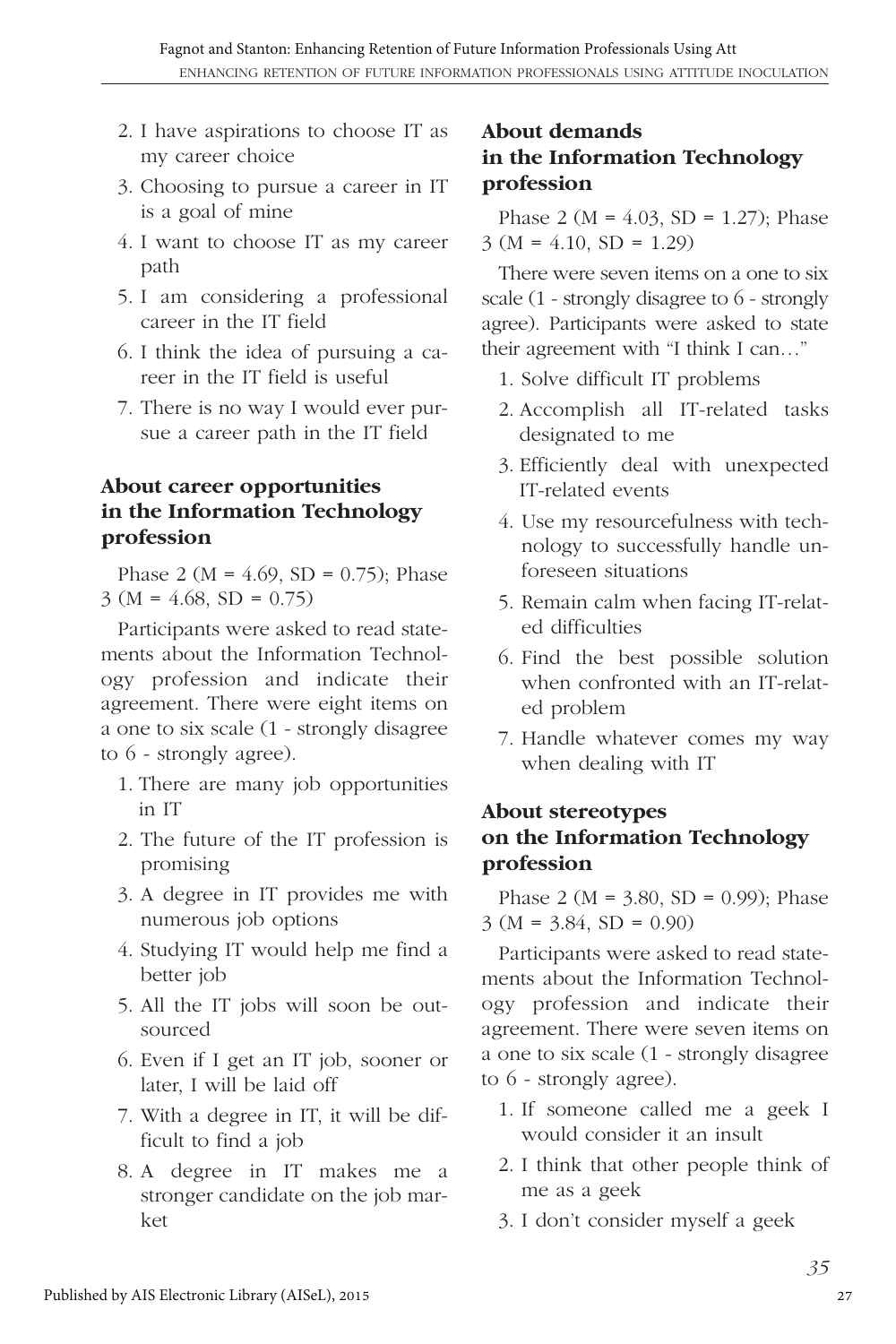- 2. I have aspirations to choose IT as my career choice
- 3. Choosing to pursue a career in IT is a goal of mine
- 4. I want to choose IT as my career path
- 5. I am considering a professional career in the IT field
- 6. I think the idea of pursuing a career in the IT field is useful
- 7. There is no way I would ever pursue a career path in the IT field

# **About career opportunities in the Information Technology profession**

Phase 2 ( $M = 4.69$ ,  $SD = 0.75$ ); Phase  $3 (M = 4.68, SD = 0.75)$ 

Participants were asked to read statements about the Information Technology profession and indicate their agreement. There were eight items on a one to six scale (1 - strongly disagree to 6 - strongly agree).

- 1. There are many job opportunities in IT
- 2. The future of the IT profession is promising
- 3. A degree in IT provides me with numerous job options
- 4. Studying IT would help me find a better job
- 5. All the IT jobs will soon be outsourced
- 6. Even if I get an IT job, sooner or later, I will be laid off
- 7. With a degree in IT, it will be difficult to find a job
- 8. A degree in IT makes me a stronger candidate on the job market

# **About demands in the Information Technology profession**

Phase 2 ( $M = 4.03$ ,  $SD = 1.27$ ); Phase  $3 (M = 4.10, SD = 1.29)$ 

There were seven items on a one to six scale (1 - strongly disagree to 6 - strongly agree). Participants were asked to state their agreement with "I think I can…"

- 1. Solve difficult IT problems
- 2. Accomplish all IT-related tasks designated to me
- 3. Efficiently deal with unexpected IT-related events
- 4. Use my resourcefulness with technology to successfully handle unforeseen situations
- 5. Remain calm when facing IT-related difficulties
- 6. Find the best possible solution when confronted with an IT-related problem
- 7. Handle whatever comes my way when dealing with IT

# **About stereotypes on the Information Technology profession**

Phase 2 ( $M = 3.80$ ,  $SD = 0.99$ ); Phase  $3 (M = 3.84, SD = 0.90)$ 

Participants were asked to read statements about the Information Technology profession and indicate their agreement. There were seven items on a one to six scale (1 - strongly disagree to 6 - strongly agree).

- 1. If someone called me a geek I would consider it an insult
- 2. I think that other people think of me as a geek
- 3. I don't consider myself a geek